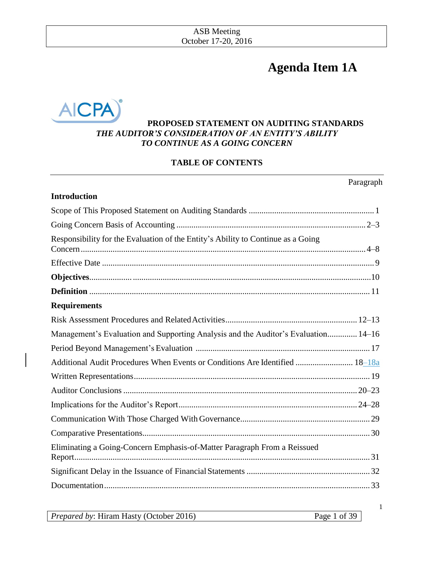# **Agenda Item 1A**



# **PROPOSED STATEMENT ON AUDITING STANDARDS** *THE AUDITOR'S CONSIDERATION OF AN ENTITY'S ABILITY TO CONTINUE AS A GOING CONCERN*

## **TABLE OF CONTENTS**

| Paragraph                                                                          |  |
|------------------------------------------------------------------------------------|--|
| <b>Introduction</b>                                                                |  |
|                                                                                    |  |
|                                                                                    |  |
| Responsibility for the Evaluation of the Entity's Ability to Continue as a Going   |  |
|                                                                                    |  |
|                                                                                    |  |
|                                                                                    |  |
| <b>Requirements</b>                                                                |  |
|                                                                                    |  |
| Management's Evaluation and Supporting Analysis and the Auditor's Evaluation 14–16 |  |
|                                                                                    |  |
| Additional Audit Procedures When Events or Conditions Are Identified  18–18a       |  |
|                                                                                    |  |
|                                                                                    |  |
|                                                                                    |  |
|                                                                                    |  |
|                                                                                    |  |
| Eliminating a Going-Concern Emphasis-of-Matter Paragraph From a Reissued           |  |
|                                                                                    |  |
|                                                                                    |  |

| <i>Prepared by: Hiram Hasty (October 2016)</i> | Page 1 of 39 |
|------------------------------------------------|--------------|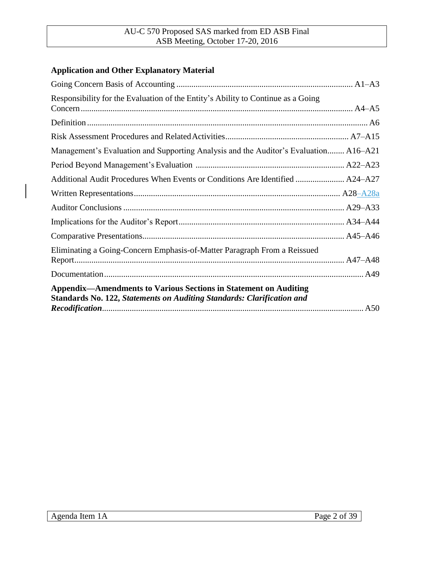# **Application and Other Explanatory Material**

| Responsibility for the Evaluation of the Entity's Ability to Continue as a Going                                                                         |  |
|----------------------------------------------------------------------------------------------------------------------------------------------------------|--|
|                                                                                                                                                          |  |
|                                                                                                                                                          |  |
| Management's Evaluation and Supporting Analysis and the Auditor's Evaluation A16–A21                                                                     |  |
|                                                                                                                                                          |  |
| Additional Audit Procedures When Events or Conditions Are Identified  A24–A27                                                                            |  |
|                                                                                                                                                          |  |
|                                                                                                                                                          |  |
|                                                                                                                                                          |  |
|                                                                                                                                                          |  |
| Eliminating a Going-Concern Emphasis-of-Matter Paragraph From a Reissued                                                                                 |  |
|                                                                                                                                                          |  |
| <b>Appendix-Amendments to Various Sections in Statement on Auditing</b><br><b>Standards No. 122, Statements on Auditing Standards: Clarification and</b> |  |
|                                                                                                                                                          |  |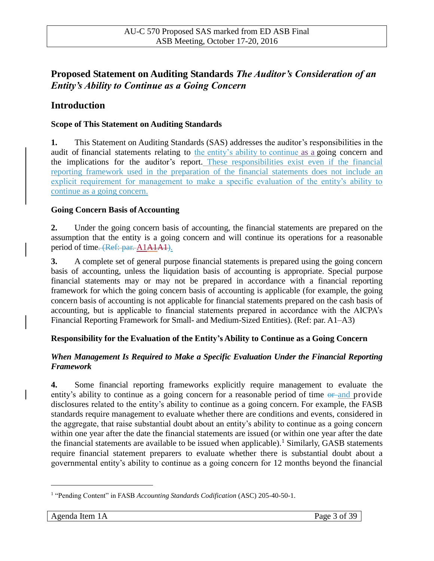# **Proposed Statement on Auditing Standards** *The Auditor's Consideration of an Entity's Ability to Continue as a Going Concern*

# **Introduction**

#### **Scope of This Statement on Auditing Standards**

**1.** This Statement on Auditing Standards (SAS) addresses the auditor's responsibilities in the audit of financial statements relating to the entity's ability to continue as a going concern and the implications for the auditor's report. These responsibilities exist even if the financial reporting framework used in the preparation of the financial statements does not include an explicit requirement for management to make a specific evaluation of the entity's ability to continue as a going concern.

#### **Going Concern Basis ofAccounting**

<span id="page-2-0"></span>**2.** Under the going concern basis of accounting, the financial statements are prepared on the assumption that the entity is a going concern and will continue its operations for a reasonable period of time. (Ref: par. [A1A1A1\)](#page-11-0).

<span id="page-2-1"></span>**3.** A complete set of general purpose financial statements is prepared using the going concern basis of accounting, unless the liquidation basis of accounting is appropriate. Special purpose financial statements may or may not be prepared in accordance with a financial reporting framework for which the going concern basis of accounting is applicable (for example, the going concern basis of accounting is not applicable for financial statements prepared on the cash basis of accounting, but is applicable to financial statements prepared in accordance with the AICPA's Financial Reporting Framework for Small- and Medium-Sized Entities). (Ref: par. [A1–](#page-11-0)[A3\)](#page-11-1)

#### **Responsibility for the Evaluation of the Entity's Ability to Continue as a Going Concern**

#### *When Management Is Required to Make a Specific Evaluation Under the Financial Reporting Framework*

<span id="page-2-2"></span>**4.** Some financial reporting frameworks explicitly require management to evaluate the entity's ability to continue as a going concern for a reasonable period of time  $\theta$ -and provide disclosures related to the entity's ability to continue as a going concern. For example, the FASB standards require management to evaluate whether there are conditions and events, considered in the aggregate, that raise substantial doubt about an entity's ability to continue as a going concern within one year after the date the financial statements are issued (or within one year after the date the financial statements are available to be issued when applicable).<sup>1</sup> Similarly, GASB statements require financial statement preparers to evaluate whether there is substantial doubt about a governmental entity's ability to continue as a going concern for 12 months beyond the financial

<sup>&</sup>lt;sup>1</sup> "Pending Content" in FASB *Accounting Standards Codification* (ASC) 205-40-50-1.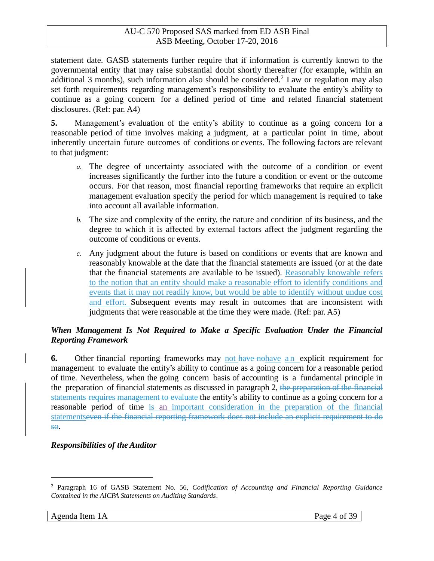statement date. GASB statements further require that if information is currently known to the governmental entity that may raise substantial doubt shortly thereafter (for example, within an additional 3 months), such information also should be considered.<sup>2</sup> Law or regulation may also set forth requirements regarding management's responsibility to evaluate the entity's ability to continue as a going concern for a defined period of time and related financial statement disclosures. (Ref: par. [A4\)](#page-12-0)

<span id="page-3-0"></span>**5.** Management's evaluation of the entity's ability to continue as a going concern for a reasonable period of time involves making a judgment, at a particular point in time, about inherently uncertain future outcomes of conditions or events. The following factors are relevant to that judgment:

- *a.* The degree of uncertainty associated with the outcome of a condition or event increases significantly the further into the future a condition or event or the outcome occurs. For that reason, most financial reporting frameworks that require an explicit management evaluation specify the period for which management is required to take into account all available information.
- *b.* The size and complexity of the entity, the nature and condition of its business, and the degree to which it is affected by external factors affect the judgment regarding the outcome of conditions or events.
- *c.* Any judgment about the future is based on conditions or events that are known and reasonably knowable at the date that the financial statements are issued (or at the date that the financial statements are available to be issued). Reasonably knowable refers to the notion that an entity should make a reasonable effort to identify conditions and events that it may not readily know, but would be able to identify without undue cost and effort. Subsequent events may result in outcomes that are inconsistent with judgments that were reasonable at the time they were made. (Ref: par[. A5\)](#page-12-1)

#### *When Management Is Not Required to Make a Specific Evaluation Under the Financial Reporting Framework*

**6.** Other financial reporting frameworks may not have no have a n explicit requirement for management to evaluate the entity's ability to continue as a going concern for a reasonable period of time. Nevertheless, when the going concern basis of accounting is a fundamental principle in the preparation of financial statements as discussed in paragraph [2,](#page-2-0) the preparation of the financial statements requires management to evaluate the entity's ability to continue as a going concern for a reasonable period of time is an important consideration in the preparation of the financial statementseven if the financial reporting framework does not include an explicit requirement to do so.

#### *Responsibilities of the Auditor*

<sup>2</sup> Paragraph 16 of GASB Statement No. 56, *Codification of Accounting and Financial Reporting Guidance Contained in the AICPA Statements on Auditing Standards*.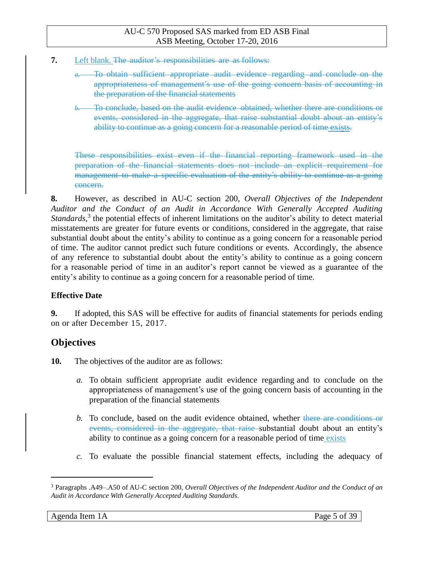- **7.** Left blank. The auditor's responsibilities are as follows:
	- *a.* To obtain sufficient appropriate audit evidence regarding and conclude on the appropriateness of management's use of the going concern basis of accounting in the preparation of the financial statements
	- *b.* To conclude, based on the audit evidence obtained, whether there are conditions or events, considered in the aggregate, that raise substantial doubt about an entity's ability to continue as a going concern for a reasonable period of time exists.

These responsibilities exist even if the financial reporting framework used in the preparation of the financial statements does not include an explicit requirement for management to make a specific evaluation of the entity's ability to continue as a going concern.

**8.** However, as described in AU-C section 200, *Overall Objectives of the Independent Auditor and the Conduct of an Audit in Accordance With Generally Accepted Auditing*  Standards,<sup>3</sup> the potential effects of inherent limitations on the auditor's ability to detect material misstatements are greater for future events or conditions, considered in the aggregate, that raise substantial doubt about the entity's ability to continue as a going concern for a reasonable period of time. The auditor cannot predict such future conditions or events. Accordingly, the absence of any reference to substantial doubt about the entity's ability to continue as a going concern for a reasonable period of time in an auditor's report cannot be viewed as a guarantee of the entity's ability to continue as a going concern for a reasonable period of time.

#### **Effective Date**

**9.** If adopted, this SAS will be effective for audits of financial statements for periods ending on or after December 15, 2017.

# **Objectives**

**10.** The objectives of the auditor are as follows:

- *a.* To obtain sufficient appropriate audit evidence regarding and to conclude on the appropriateness of management's use of the going concern basis of accounting in the preparation of the financial statements
- *b.* To conclude, based on the audit evidence obtained, whether there are conditions or events, considered in the aggregate, that raise substantial doubt about an entity's ability to continue as a going concern for a reasonable period of time exists
- *c.* To evaluate the possible financial statement effects, including the adequacy of

<sup>3</sup> Paragraphs .A49–.A50 of AU-C section 200, *Overall Objectives of the Independent Auditor and the Conduct of an Audit in Accordance With Generally Accepted Auditing Standards*.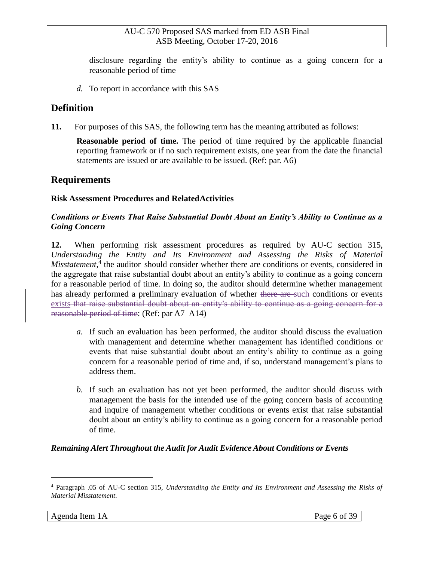disclosure regarding the entity's ability to continue as a going concern for a reasonable period of time

*d.* To report in accordance with this SAS

# **Definition**

<span id="page-5-0"></span>**11.** For purposes of this SAS, the following term has the meaning attributed as follows:

**Reasonable period of time.** The period of time required by the applicable financial reporting framework or if no such requirement exists, one year from the date the financial statements are issued or are available to be issued. (Ref: par[. A6\)](#page-13-0)

# **Requirements**

#### **Risk Assessment Procedures and RelatedActivities**

#### *Conditions or Events That Raise Substantial Doubt About an Entity's Ability to Continue as a Going Concern*

<span id="page-5-1"></span>**12.** When performing risk assessment procedures as required by AU-C section 315, *Understanding the Entity and Its Environment and Assessing the Risks of Material*  Misstatement,<sup>4</sup> the auditor should consider whether there are conditions or events, considered in the aggregate that raise substantial doubt about an entity's ability to continue as a going concern for a reasonable period of time. In doing so, the auditor should determine whether management has already performed a preliminary evaluation of whether there are such conditions or events exists that raise substantial doubt about an entity's ability to continue as a going concern for a reasonable period of time: (Ref: par [A7](#page-13-1)[–A14\)](#page-16-0)

- *a.* If such an evaluation has been performed, the auditor should discuss the evaluation with management and determine whether management has identified conditions or events that raise substantial doubt about an entity's ability to continue as a going concern for a reasonable period of time and, if so, understand management's plans to address them.
- *b.* If such an evaluation has not yet been performed, the auditor should discuss with management the basis for the intended use of the going concern basis of accounting and inquire of management whether conditions or events exist that raise substantial doubt about an entity's ability to continue as a going concern for a reasonable period of time.

#### *Remaining Alert Throughout the Audit for Audit Evidence About Conditions or Events*

Agenda Item 1A Page 6 of 39

<sup>4</sup> Paragraph .05 of AU-C section 315, *Understanding the Entity and Its Environment and Assessing the Risks of Material Misstatement*.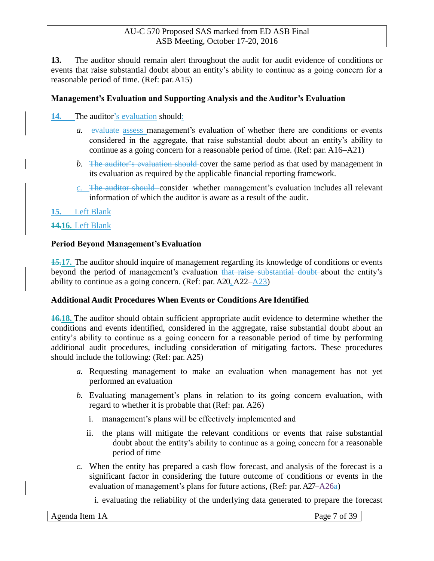<span id="page-6-1"></span>**13.** The auditor should remain alert throughout the audit for audit evidence of conditions or events that raise substantial doubt about an entity's ability to continue as a going concern for a reasonable period of time. (Ref: par[.A15\)](#page-16-1)

#### **Management's Evaluation and Supporting Analysis and the Auditor's Evaluation**

<span id="page-6-2"></span>**14.** The auditor's evaluation should:

- *a.* evaluate assess management's evaluation of whether there are conditions or events considered in the aggregate, that raise substantial doubt about an entity's ability to continue as a going concern for a reasonable period of time. (Ref: par. [A16–](#page-17-0)[A21\)](#page-18-0)
- <span id="page-6-3"></span>*b.* The auditor's evaluation should cover the same period as that used by management in its evaluation as required by the applicable financial reporting framework.
- *c.* The auditor should consider whether management's evaluation includes all relevant information of which the auditor is aware as a result of the audit.

**15.** Left Blank

#### **14.16.** Left Blank

#### **Period Beyond Management's Evaluation**

<span id="page-6-4"></span>**15.17.** The auditor should inquire of management regarding its knowledge of conditions or events beyond the period of management's evaluation that raise substantial doubt about the entity's ability to continue as a going concern. (Ref: par. [A20,](#page-18-1) [A22–](#page-18-2)A23)

#### **Additional Audit Procedures When Events or Conditions Are Identified**

<span id="page-6-0"></span>**16.18.** The auditor should obtain sufficient appropriate audit evidence to determine whether the conditions and events identified, considered in the aggregate, raise substantial doubt about an entity's ability to continue as a going concern for a reasonable period of time by performing additional audit procedures, including consideration of mitigating factors. These procedures should include the following: (Ref: par. [A25\)](#page-19-0)

- *a.* Requesting management to make an evaluation when management has not yet performed an evaluation
- *b.* Evaluating management's plans in relation to its going concern evaluation, with regard to whether it is probable that (Ref: par. [A26\)](#page-20-0)
	- i. management's plans will be effectively implemented and
	- ii. the plans will mitigate the relevant conditions or events that raise substantial doubt about the entity's ability to continue as a going concern for a reasonable period of time
- *c.* When the entity has prepared a cash flow forecast, and analysis of the forecast is a significant factor in considering the future outcome of conditions or events in the evaluation of management's plans for future actions, (Ref: par[.A27–](#page-20-1)A26a)

i. evaluating the reliability of the underlying data generated to prepare the forecast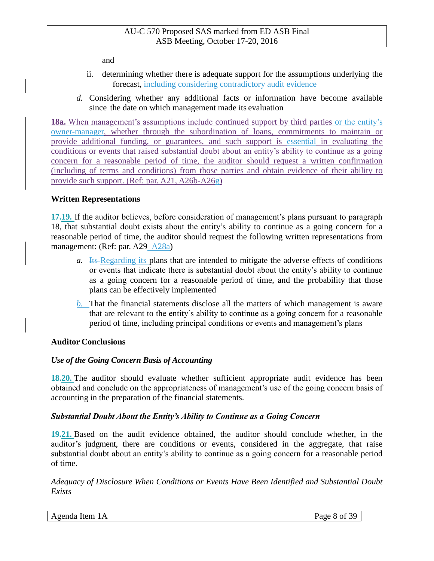and

- ii. determining whether there is adequate support for the assumptions underlying the forecast, including considering contradictory audit evidence
- *d.* Considering whether any additional facts or information have become available since the date on which management made its evaluation

**18a.** When management's assumptions include continued support by third parties or the entity's owner-manager, whether through the subordination of loans, commitments to maintain or provide additional funding, or guarantees, and such support is essential in evaluating the conditions or events that raised substantial doubt about an entity's ability to continue as a going concern for a reasonable period of time, the auditor should request a written confirmation (including of terms and conditions) from those parties and obtain evidence of their ability to provide such support. (Ref: par. A21, A26b-A26g)

#### **Written Representations**

<span id="page-7-0"></span>**17.19.** If the auditor believes, before consideration of management's plans pursuant to paragraph [18,](#page-6-0) that substantial doubt exists about the entity's ability to continue as a going concern for a reasonable period of time, the auditor should request the following written representations from management: (Ref: par. [A29–](#page-22-0)A28a)

- *a.* Its Regarding its plans that are intended to mitigate the adverse effects of conditions or events that indicate there is substantial doubt about the entity's ability to continue as a going concern for a reasonable period of time, and the probability that those plans can be effectively implemented
- *b.* That the financial statements disclose all the matters of which management is aware that are relevant to the entity's ability to continue as a going concern for a reasonable period of time, including principal conditions or events and management's plans

#### **Auditor Conclusions**

#### *Use of the Going Concern Basis of Accounting*

**18.20.** The auditor should evaluate whether sufficient appropriate audit evidence has been obtained and conclude on the appropriateness of management's use of the going concern basis of accounting in the preparation of the financial statements.

#### *Substantial Doubt About the Entity's Ability to Continue as a Going Concern*

<span id="page-7-1"></span>**19.21.** Based on the audit evidence obtained, the auditor should conclude whether, in the auditor's judgment, there are conditions or events, considered in the aggregate, that raise substantial doubt about an entity's ability to continue as a going concern for a reasonable period of time.

*Adequacy of Disclosure When Conditions or Events Have Been Identified and Substantial Doubt Exists* 

Agenda Item 1A Page 8 of 39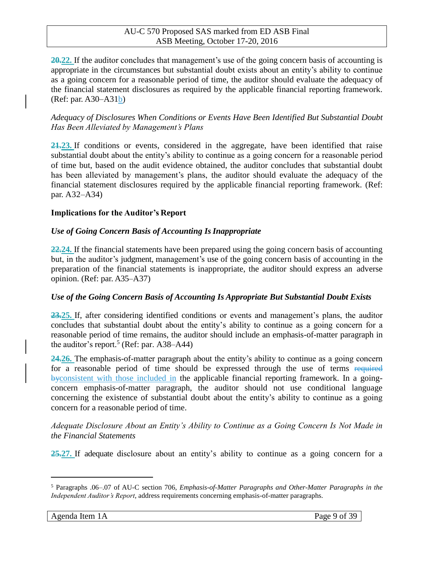<span id="page-8-0"></span>**20.22.** If the auditor concludes that management's use of the going concern basis of accounting is appropriate in the circumstances but substantial doubt exists about an entity's ability to continue as a going concern for a reasonable period of time, the auditor should evaluate the adequacy of the financial statement disclosures as required by the applicable financial reporting framework. (Ref: par[. A30–](#page-22-1)[A31b](#page-22-2))

#### *Adequacy of Disclosures When Conditions or Events Have Been Identified But Substantial Doubt Has Been Alleviated by Management's Plans*

<span id="page-8-1"></span>21.23. If conditions or events, considered in the aggregate, have been identified that raise substantial doubt about the entity's ability to continue as a going concern for a reasonable period of time but, based on the audit evidence obtained, the auditor concludes that substantial doubt has been alleviated by management's plans, the auditor should evaluate the adequacy of the financial statement disclosures required by the applicable financial reporting framework. (Ref: par. [A32](#page-23-0)[–A34\)](#page-24-0)

#### **Implications for the Auditor's Report**

## *Use of Going Concern Basis of Accounting IsInappropriate*

<span id="page-8-2"></span>**22.24.** If the financial statements have been prepared using the going concern basis of accounting but, in the auditor's judgment, management's use of the going concern basis of accounting in the preparation of the financial statements is inappropriate, the auditor should express an adverse opinion. (Ref: par. [A35–](#page-24-1)[A37\)](#page-24-2)

#### *Use of the Going Concern Basis of Accounting Is Appropriate But Substantial Doubt Exists*

<span id="page-8-3"></span>**23.25.** If, after considering identified conditions or events and management's plans, the auditor concludes that substantial doubt about the entity's ability to continue as a going concern for a reasonable period of time remains, the auditor should include an emphasis-of-matter paragraph in the auditor's report.<sup>5</sup> (Ref: par. [A38–](#page-25-0)[A44\)](#page-26-0)

<span id="page-8-4"></span>24.26. The emphasis-of-matter paragraph about the entity's ability to continue as a going concern for a reasonable period of time should be expressed through the use of terms required byconsistent with those included in the applicable financial reporting framework. In a goingconcern emphasis-of-matter paragraph, the auditor should not use conditional language concerning the existence of substantial doubt about the entity's ability to continue as a going concern for a reasonable period of time.

#### *Adequate Disclosure About an Entity's Ability to Continue as a Going Concern Is Not Made in the Financial Statements*

<span id="page-8-5"></span>25.27. If adequate disclosure about an entity's ability to continue as a going concern for a

Agenda Item 1A Page 9 of 39

<sup>5</sup> Paragraphs .06–.07 of AU-C section 706, *Emphasis-of-Matter Paragraphs and Other-Matter Paragraphs in the Independent Auditor's Report*, address requirements concerning emphasis-of-matter paragraphs.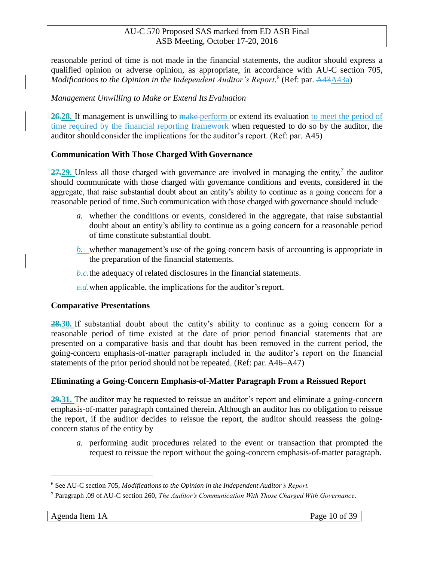reasonable period of time is not made in the financial statements, the auditor should express a qualified opinion or adverse opinion, as appropriate, in accordance with AU-C section 705, Modifications to the Opinion in the Independent Auditor's Report.<sup>6</sup> (Ref: par. [A43A](#page-26-0)43a)

#### *Management Unwilling to Make or Extend Its Evaluation*

<span id="page-9-0"></span>**26.28.** If management is unwilling to make perform or extend its evaluation to meet the period of time required by the financial reporting framework when requested to do so by the auditor, the auditor should consider the implications for the auditor's report. (Ref: par. [A45\)](#page-27-0)

#### **Communication With Those Charged With Governance**

 $27.29$ . Unless all those charged with governance are involved in managing the entity,<sup>7</sup> the auditor should communicate with those charged with governance conditions and events, considered in the aggregate, that raise substantial doubt about an entity's ability to continue as a going concern for a reasonable period of time.Such communication with those charged with governance should include

- *a.* whether the conditions or events, considered in the aggregate, that raise substantial doubt about an entity's ability to continue as a going concern for a reasonable period of time constitute substantial doubt.
- *b.* whether management's use of the going concern basis of accounting is appropriate in the preparation of the financial statements.
- b<sub>rc</sub>, the adequacy of related disclosures in the financial statements.
- *e.d.* when applicable, the implications for the auditor's report.

#### **Comparative Presentations**

<span id="page-9-1"></span>28.30. If substantial doubt about the entity's ability to continue as a going concern for a reasonable period of time existed at the date of prior period financial statements that are presented on a comparative basis and that doubt has been removed in the current period, the going-concern emphasis-of-matter paragraph included in the auditor's report on the financial statements of the prior period should not be repeated. (Ref: par. [A46–](#page-27-1)[A47\)](#page-27-2)

#### **Eliminating a Going-Concern Emphasis-of-Matter Paragraph From a Reissued Report**

<span id="page-9-2"></span>**29.31.** The auditor may be requested to reissue an auditor's report and eliminate a going-concern emphasis-of-matter paragraph contained therein. Although an auditor has no obligation to reissue the report, if the auditor decides to reissue the report, the auditor should reassess the goingconcern status of the entity by

*a.* performing audit procedures related to the event or transaction that prompted the request to reissue the report without the going-concern emphasis-of-matter paragraph.

<sup>6</sup> See AU-C section 705, *Modifications to the Opinion in the Independent Auditor's Report.*

<sup>7</sup> Paragraph .09 of AU-C section 260, *The Auditor's Communication With Those Charged With Governance*.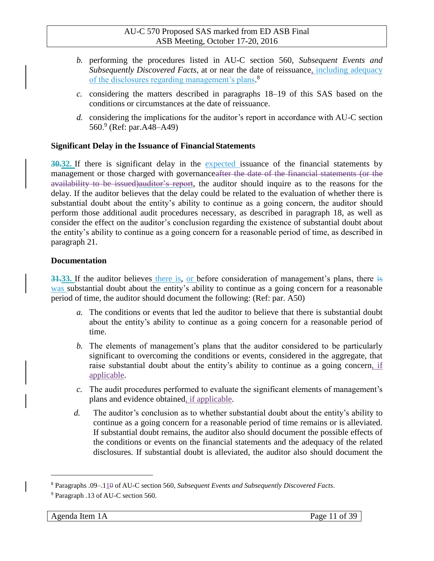- *b.* performing the procedures listed in AU-C section 560, *Subsequent Events and Subsequently Discovered Facts*, at or near the date of reissuance, including adequacy of the disclosures regarding management's plans.<sup>8</sup>
- *c.* considering the matters described in paragraphs [18–](#page-6-0)[19](#page-7-0) of this SAS based on the conditions or circumstances at the date of reissuance.
- *d.* considering the implications for the auditor's report in accordance with AU-C section 560.<sup>9</sup> (Ref: par[.A48](#page-28-0)[–A49\)](#page-28-1)

#### **Significant Delay in the Issuance of Financial Statements**

**30.32.** If there is significant delay in the expected issuance of the financial statements by management or those charged with governanceafter the date of the financial statements (or the availability to be issued)auditor's report, the auditor should inquire as to the reasons for the delay. If the auditor believes that the delay could be related to the evaluation of whether there is substantial doubt about the entity's ability to continue as a going concern, the auditor should perform those additional audit procedures necessary, as described in paragraph [18,](#page-6-0) as well as consider the effect on the auditor's conclusion regarding the existence of substantial doubt about the entity's ability to continue as a going concern for a reasonable period of time, as described in paragraph [21.](#page-7-1)

#### **Documentation**

<span id="page-10-0"></span>**31.33.** If the auditor believes there is, or before consideration of management's plans, there is was substantial doubt about the entity's ability to continue as a going concern for a reasonable period of time, the auditor should document the following: (Ref: par. [A50\)](#page-28-2)

- *a.* The conditions or events that led the auditor to believe that there is substantial doubt about the entity's ability to continue as a going concern for a reasonable period of time.
- *b.* The elements of management's plans that the auditor considered to be particularly significant to overcoming the conditions or events, considered in the aggregate, that raise substantial doubt about the entity's ability to continue as a going concern, if applicable.
- *c.* The audit procedures performed to evaluate the significant elements of management's plans and evidence obtained, if applicable.
- *d.* The auditor's conclusion as to whether substantial doubt about the entity's ability to continue as a going concern for a reasonable period of time remains or is alleviated. If substantial doubt remains, the auditor also should document the possible effects of the conditions or events on the financial statements and the adequacy of the related disclosures. If substantial doubt is alleviated, the auditor also should document the

<sup>8</sup> Paragraphs .09–.110 of AU-C section 560, *Subsequent Events and Subsequently Discovered Facts*.

<sup>9</sup> Paragraph .13 of AU-C section 560.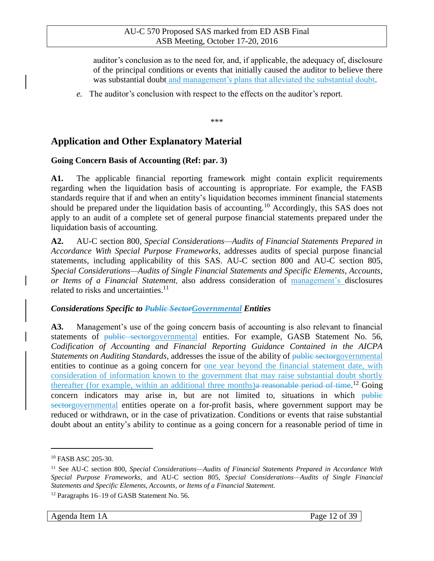auditor's conclusion as to the need for, and, if applicable, the adequacy of, disclosure of the principal conditions or events that initially caused the auditor to believe there was substantial doubt and management's plans that alleviated the substantial doubt.

*e.* The auditor's conclusion with respect to the effects on the auditor's report.

\*\*\*

# **Application and Other Explanatory Material**

#### **Going Concern Basis of Accounting (Ref: par. [3\)](#page-2-1)**

<span id="page-11-0"></span>**A1.** The applicable financial reporting framework might contain explicit requirements regarding when the liquidation basis of accounting is appropriate. For example, the FASB standards require that if and when an entity's liquidation becomes imminent financial statements should be prepared under the liquidation basis of accounting.<sup>10</sup> Accordingly, this SAS does not apply to an audit of a complete set of general purpose financial statements prepared under the liquidation basis of accounting.

**A2.** AU-C section 800, *Special Considerations—Audits of Financial Statements Prepared in Accordance With Special Purpose Frameworks*, addresses audits of special purpose financial statements, including applicability of this SAS. AU-C section 800 and AU-C section 805, *Special Considerations—Audits of Single Financial Statements and Specific Elements, Accounts, or Items of a Financial Statement*, also address consideration of management's disclosures related to risks and uncertainties.<sup>11</sup>

#### *Considerations Specific to Public SectorGovernmental Entities*

<span id="page-11-1"></span>**A3.** Management's use of the going concern basis of accounting is also relevant to financial statements of public sectorgovernmental entities. For example, GASB Statement No. 56, *Codification of Accounting and Financial Reporting Guidance Contained in the AICPA Statements on Auditing Standards, addresses the issue of the ability of <del>public sector</del>governmental* entities to continue as a going concern for one year beyond the financial statement date, with consideration of information known to the government that may raise substantial doubt shortly thereafter (for example, within an additional three months) a reasonable period of time.<sup>12</sup> Going concern indicators may arise in, but are not limited to, situations in which public sectorgovernmental entities operate on a for-profit basis, where government support may be reduced or withdrawn, or in the case of privatization. Conditions or events that raise substantial doubt about an entity's ability to continue as a going concern for a reasonable period of time in

<sup>10</sup> FASB ASC 205-30*.*

<sup>11</sup> See AU-C section 800, *Special Considerations—Audits of Financial Statements Prepared in Accordance With Special Purpose Frameworks*, and AU-C section 805, *Special Considerations—Audits of Single Financial Statements and Specific Elements, Accounts, or Items of a Financial Statement.*

<sup>12</sup> Paragraphs 16–19 of GASB Statement No. 56.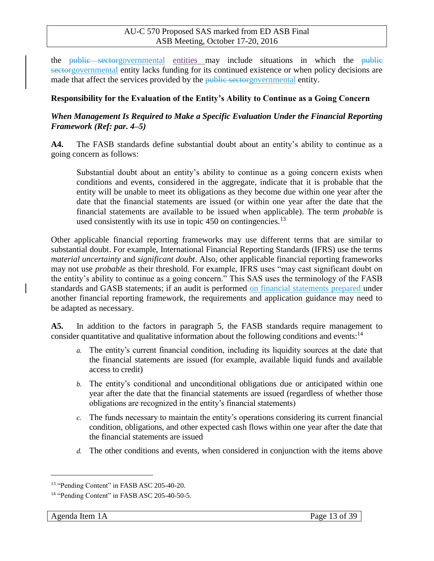the public sectorgovernmental entities may include situations in which the public sectorgovernmental entity lacks funding for its continued existence or when policy decisions are made that affect the services provided by the public sectorgovernmental entity.

#### **Responsibility for the Evaluation of the Entity's Ability to Continue as a Going Concern**

### *When Management Is Required to Make a Specific Evaluation Under the Financial Reporting Framework (Ref: par. [4–](#page-2-2)[5\)](#page-3-0)*

<span id="page-12-0"></span>**A4.** The FASB standards define substantial doubt about an entity's ability to continue as a going concern as follows:

Substantial doubt about an entity's ability to continue as a going concern exists when conditions and events, considered in the aggregate, indicate that it is probable that the entity will be unable to meet its obligations as they become due within one year after the date that the financial statements are issued (or within one year after the date that the financial statements are available to be issued when applicable). The term *probable* is used consistently with its use in topic  $450$  on contingencies.<sup>13</sup>

Other applicable financial reporting frameworks may use different terms that are similar to substantial doubt. For example, International Financial Reporting Standards (IFRS) use the terms *material uncertainty* and *significant doubt*. Also, other applicable financial reporting frameworks may not use *probable* as their threshold. For example, IFRS uses "may cast significant doubt on the entity's ability to continue as a going concern." This SAS uses the terminology of the FASB standards and GASB statements; if an audit is performed on financial statements prepared under another financial reporting framework, the requirements and application guidance may need to be adapted as necessary.

<span id="page-12-1"></span>**A5.** In addition to the factors in paragraph 5, the FASB standards require management to consider quantitative and qualitative information about the following conditions and events:<sup>14</sup>

- *a.* The entity's current financial condition, including its liquidity sources at the date that the financial statements are issued (for example, available liquid funds and available access to credit)
- *b.* The entity's conditional and unconditional obligations due or anticipated within one year after the date that the financial statements are issued (regardless of whether those obligations are recognized in the entity's financial statements)
- *c.* The funds necessary to maintain the entity's operations considering its current financial condition, obligations, and other expected cash flows within one year after the date that the financial statements are issued
- *d.* The other conditions and events, when considered in conjunction with the items above

<sup>&</sup>lt;sup>13</sup> "Pending Content" in FASB ASC 205-40-20.

<sup>14</sup> "Pending Content" in FASB ASC 205-40-50-5.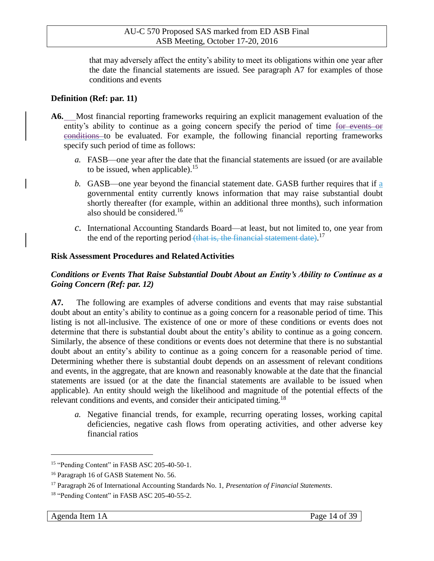that may adversely affect the entity's ability to meet its obligations within one year after the date the financial statements are issued. See paragraph [A7](#page-13-1) for examples of those conditions and events

#### **Definition (Ref: par. [11\)](#page-5-0)**

- <span id="page-13-0"></span>**A6.** Most financial reporting frameworks requiring an explicit management evaluation of the entity's ability to continue as a going concern specify the period of time for events or conditions to be evaluated. For example, the following financial reporting frameworks specify such period of time as follows:
	- *a.* FASB—one year after the date that the financial statements are issued (or are available to be issued, when applicable).<sup>15</sup>
	- *b.* GASB—one year beyond the financial statement date. GASB further requires that if a governmental entity currently knows information that may raise substantial doubt shortly thereafter (for example, within an additional three months), such information also should be considered. 16
	- *c.* International Accounting Standards Board—at least, but not limited to, one year from the end of the reporting period (that is, the financial statement date).<sup>17</sup>

#### **Risk Assessment Procedures and RelatedActivities**

#### *Conditions or Events That Raise Substantial Doubt About an Entity's Ability to Continue as a Going Concern (Ref: par. [12\)](#page-5-1)*

<span id="page-13-1"></span>**A7.** The following are examples of adverse conditions and events that may raise substantial doubt about an entity's ability to continue as a going concern for a reasonable period of time. This listing is not all-inclusive. The existence of one or more of these conditions or events does not determine that there is substantial doubt about the entity's ability to continue as a going concern. Similarly, the absence of these conditions or events does not determine that there is no substantial doubt about an entity's ability to continue as a going concern for a reasonable period of time. Determining whether there is substantial doubt depends on an assessment of relevant conditions and events, in the aggregate, that are known and reasonably knowable at the date that the financial statements are issued (or at the date the financial statements are available to be issued when applicable). An entity should weigh the likelihood and magnitude of the potential effects of the relevant conditions and events, and consider their anticipated timing.<sup>18</sup>

*a.* Negative financial trends, for example, recurring operating losses, working capital deficiencies, negative cash flows from operating activities, and other adverse key financial ratios

<sup>&</sup>lt;sup>15</sup> "Pending Content" in FASB ASC 205-40-50-1.

<sup>&</sup>lt;sup>16</sup> Paragraph 16 of GASB Statement No. 56.

<sup>17</sup> Paragraph 26 of International Accounting Standards No. 1, *Presentation of Financial Statements*.

<sup>&</sup>lt;sup>18</sup> "Pending Content" in FASB ASC 205-40-55-2.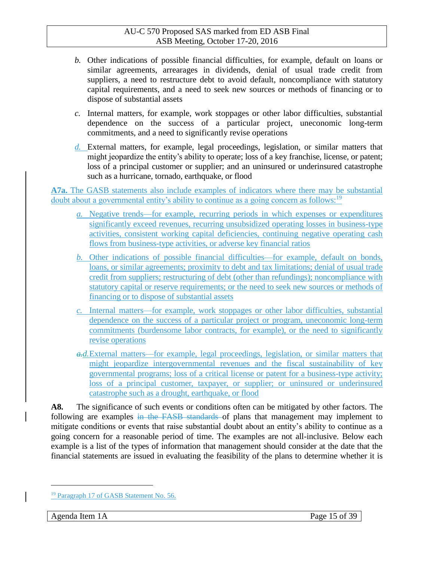- *b.* Other indications of possible financial difficulties, for example, default on loans or similar agreements, arrearages in dividends, denial of usual trade credit from suppliers, a need to restructure debt to avoid default, noncompliance with statutory capital requirements, and a need to seek new sources or methods of financing or to dispose of substantial assets
- *c.* Internal matters, for example, work stoppages or other labor difficulties, substantial dependence on the success of a particular project, uneconomic long-term commitments, and a need to significantly revise operations
- *d.* External matters, for example, legal proceedings, legislation, or similar matters that might jeopardize the entity's ability to operate; loss of a key franchise, license, or patent; loss of a principal customer or supplier; and an uninsured or underinsured catastrophe such as a hurricane, tornado, earthquake, or flood

**A7a.** The GASB statements also include examples of indicators where there may be substantial doubt about a governmental entity's ability to continue as a going concern as follows:<sup>19</sup>

- *a.* Negative trends—for example, recurring periods in which expenses or expenditures significantly exceed revenues, recurring unsubsidized operating losses in business-type activities, consistent working capital deficiencies, continuing negative operating cash flows from business-type activities, or adverse key financial ratios
- *b.* Other indications of possible financial difficulties—for example, default on bonds, loans, or similar agreements; proximity to debt and tax limitations; denial of usual trade credit from suppliers; restructuring of debt (other than refundings); noncompliance with statutory capital or reserve requirements; or the need to seek new sources or methods of financing or to dispose of substantial assets
- *c.* Internal matters—for example, work stoppages or other labor difficulties, substantial dependence on the success of a particular project or program, uneconomic long-term commitments (burdensome labor contracts, for example), or the need to significantly revise operations
- *a.d.*External matters—for example, legal proceedings, legislation, or similar matters that might jeopardize intergovernmental revenues and the fiscal sustainability of key governmental programs; loss of a critical license or patent for a business-type activity; loss of a principal customer, taxpayer, or supplier; or uninsured or underinsured catastrophe such as a drought, earthquake, or flood

<span id="page-14-0"></span>**A8.** The significance of such events or conditions often can be mitigated by other factors. The following are examples in the FASB standards of plans that management may implement to mitigate conditions or events that raise substantial doubt about an entity's ability to continue as a going concern for a reasonable period of time. The examples are not all-inclusive. Below each example is a list of the types of information that management should consider at the date that the financial statements are issued in evaluating the feasibility of the plans to determine whether it is

<sup>&</sup>lt;sup>19</sup> Paragraph 17 of GASB Statement No. 56.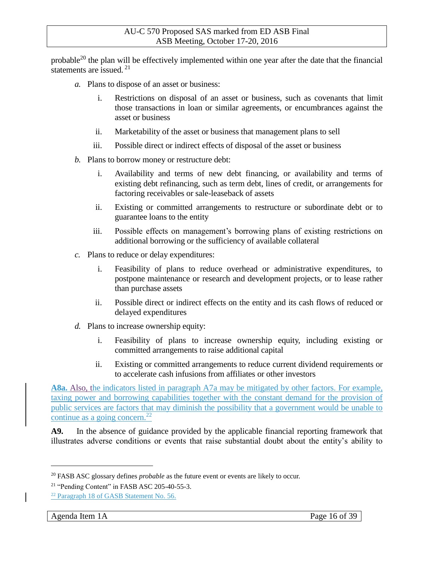probable $^{20}$  the plan will be effectively implemented within one year after the date that the financial statements are issued.<sup>21</sup>

- *a.* Plans to dispose of an asset or business:
	- i. Restrictions on disposal of an asset or business, such as covenants that limit those transactions in loan or similar agreements, or encumbrances against the asset or business
	- ii. Marketability of the asset or business that management plans to sell
	- iii. Possible direct or indirect effects of disposal of the asset or business
- *b.* Plans to borrow money or restructure debt:
	- i. Availability and terms of new debt financing, or availability and terms of existing debt refinancing, such as term debt, lines of credit, or arrangements for factoring receivables or sale-leaseback of assets
	- ii. Existing or committed arrangements to restructure or subordinate debt or to guarantee loans to the entity
	- iii. Possible effects on management's borrowing plans of existing restrictions on additional borrowing or the sufficiency of available collateral
- *c.* Plans to reduce or delay expenditures:
	- i. Feasibility of plans to reduce overhead or administrative expenditures, to postpone maintenance or research and development projects, or to lease rather than purchase assets
	- ii. Possible direct or indirect effects on the entity and its cash flows of reduced or delayed expenditures
- *d.* Plans to increase ownership equity:
	- i. Feasibility of plans to increase ownership equity, including existing or committed arrangements to raise additional capital
	- ii. Existing or committed arrangements to reduce current dividend requirements or to accelerate cash infusions from affiliates or other investors

**A8a.** Also, the indicators listed in paragraph A7a may be mitigated by other factors. For example, taxing power and borrowing capabilities together with the constant demand for the provision of public services are factors that may diminish the possibility that a government would be unable to continue as a going concern.<sup>22</sup>

**A9.** In the absence of guidance provided by the applicable financial reporting framework that illustrates adverse conditions or events that raise substantial doubt about the entity's ability to

<sup>20</sup> FASB ASC glossary defines *probable* as the future event or events are likely to occur.

<sup>21</sup> "Pending Content" in FASB ASC 205-40-55-3.

<sup>22</sup> Paragraph 18 of GASB Statement No. 56.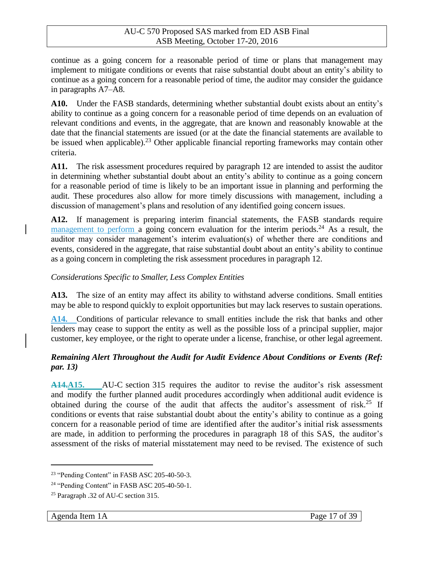continue as a going concern for a reasonable period of time or plans that management may implement to mitigate conditions or events that raise substantial doubt about an entity's ability to continue as a going concern for a reasonable period of time, the auditor may consider the guidance in paragraphs [A7](#page-13-1)[–A8.](#page-14-0)

**A10.** Under the FASB standards, determining whether substantial doubt exists about an entity's ability to continue as a going concern for a reasonable period of time depends on an evaluation of relevant conditions and events, in the aggregate, that are known and reasonably knowable at the date that the financial statements are issued (or at the date the financial statements are available to be issued when applicable).<sup>23</sup> Other applicable financial reporting frameworks may contain other criteria.

**A11.** The risk assessment procedures required by paragraph [12](#page-5-1) are intended to assist the auditor in determining whether substantial doubt about an entity's ability to continue as a going concern for a reasonable period of time is likely to be an important issue in planning and performing the audit. These procedures also allow for more timely discussions with management, including a discussion of management's plans and resolution of any identified going concern issues.

**A12.** If management is preparing interim financial statements, the FASB standards require management to perform a going concern evaluation for the interim periods.<sup>24</sup> As a result, the auditor may consider management's interim evaluation(s) of whether there are conditions and events, considered in the aggregate, that raise substantial doubt about an entity's ability to continue as a going concern in completing the risk assessment procedures in paragraph [12.](#page-5-1)

# *Considerations Specific to Smaller, Less Complex Entities*

**A13.** The size of an entity may affect its ability to withstand adverse conditions. Small entities may be able to respond quickly to exploit opportunities but may lack reserves to sustain operations.

<span id="page-16-0"></span>**A14.** Conditions of particular relevance to small entities include the risk that banks and other lenders may cease to support the entity as well as the possible loss of a principal supplier, major customer, key employee, or the right to operate under a license, franchise, or other legal agreement.

#### *Remaining Alert Throughout the Audit for Audit Evidence About Conditions or Events (Ref: par. [13\)](#page-6-1)*

<span id="page-16-1"></span>**A14.A15.** AU-C section 315 requires the auditor to revise the auditor's risk assessment and modify the further planned audit procedures accordingly when additional audit evidence is obtained during the course of the audit that affects the auditor's assessment of risk.<sup>25</sup> If conditions or events that raise substantial doubt about the entity's ability to continue as a going concern for a reasonable period of time are identified after the auditor's initial risk assessments are made, in addition to performing the procedures in paragraph [18](#page-6-0) of this SAS, the auditor's assessment of the risks of material misstatement may need to be revised. The existence of such

<sup>&</sup>lt;sup>23</sup> "Pending Content" in FASB ASC 205-40-50-3.

<sup>24</sup> "Pending Content" in FASB ASC 205-40-50-1.

<sup>25</sup> Paragraph .32 of AU-C section 315.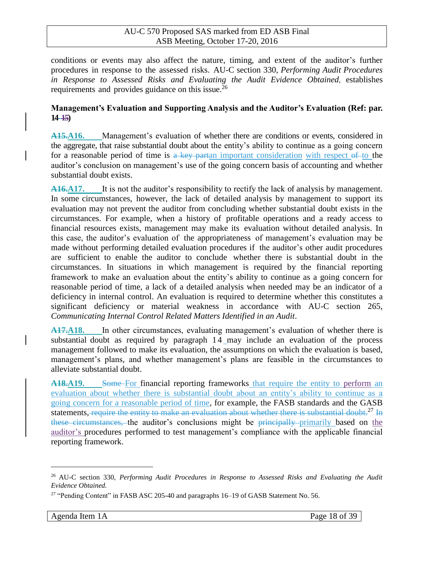conditions or events may also affect the nature, timing, and extent of the auditor's further procedures in response to the assessed risks. AU-C section 330, *Performing Audit Procedures in Response to Assessed Risks and Evaluating the Audit Evidence Obtained*, establishes requirements and provides guidance on this issue.<sup>26</sup>

#### **Management's Evaluation and Supporting Analysis and the Auditor's Evaluation (Ref: par. [14](#page-6-2)[–15\)](#page-6-3)**

<span id="page-17-0"></span>**A15.A16.** Management's evaluation of whether there are conditions or events, considered in the aggregate, that raise substantial doubt about the entity's ability to continue as a going concern for a reasonable period of time is  $a \text{ key part}$  important consideration with respect of to the auditor's conclusion on management's use of the going concern basis of accounting and whether substantial doubt exists.

**A16.A17.** It is not the auditor's responsibility to rectify the lack of analysis by management. In some circumstances, however, the lack of detailed analysis by management to support its evaluation may not prevent the auditor from concluding whether substantial doubt exists in the circumstances. For example, when a history of profitable operations and a ready access to financial resources exists, management may make its evaluation without detailed analysis. In this case, the auditor's evaluation of the appropriateness of management's evaluation may be made without performing detailed evaluation procedures if the auditor's other audit procedures are sufficient to enable the auditor to conclude whether there is substantial doubt in the circumstances. In situations in which management is required by the financial reporting framework to make an evaluation about the entity's ability to continue as a going concern for reasonable period of time, a lack of a detailed analysis when needed may be an indicator of a deficiency in internal control. An evaluation is required to determine whether this constitutes a significant deficiency or material weakness in accordance with AU-C section 265, *Communicating Internal Control Related Matters Identified in an Audit*.

**A17.A18.** In other circumstances, evaluating management's evaluation of whether there is substantial doubt as required by paragraph 14 may include an evaluation of the process management followed to make its evaluation, the assumptions on which the evaluation is based, management's plans, and whether management's plans are feasible in the circumstances to alleviate substantial doubt.

**A18.A19.** Some For financial reporting frameworks that require the entity to perform an evaluation about whether there is substantial doubt about an entity's ability to continue as a going concern for a reasonable period of time, for example, the FASB standards and the GASB statements, require the entity to make an evaluation about whether there is substantial doubt.<sup>27</sup> In these circumstances, the auditor's conclusions might be principally primarily based on the auditor's procedures performed to test management's compliance with the applicable financial reporting framework.

Agenda Item 1A Page 18 of 39

<sup>26</sup> AU-C section 330, *Performing Audit Procedures in Response to Assessed Risks and Evaluating the Audit Evidence Obtained.*

<sup>27</sup> "Pending Content" in FASB ASC 205-40 and paragraphs 16–19 of GASB Statement No. 56.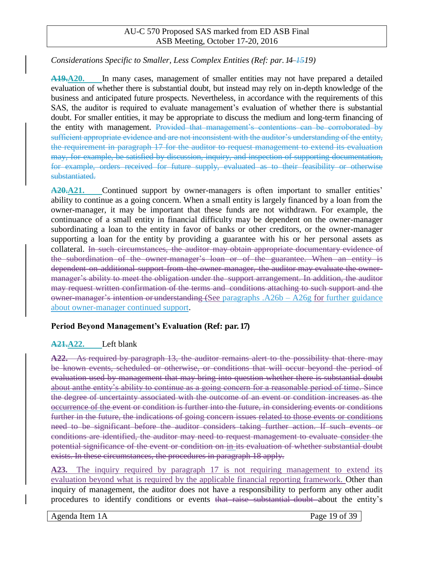*Considerations Specific to Smaller, Less Complex Entities (Ref: par[.14](#page-6-2)[–1519\)](#page-6-3)*

<span id="page-18-1"></span>**A19.A20.** In many cases, management of smaller entities may not have prepared a detailed evaluation of whether there is substantial doubt, but instead may rely on in-depth knowledge of the business and anticipated future prospects. Nevertheless, in accordance with the requirements of this SAS, the auditor is required to evaluate management's evaluation of whether there is substantial doubt. For smaller entities, it may be appropriate to discuss the medium and long-term financing of the entity with management. Provided that management's contentions can be corroborated by sufficient appropriate evidence and are not inconsistent with the auditor's understanding of the entity, the requirement in paragraph [17](#page-6-4) for the auditor to request management to extend its evaluation may, for example, be satisfied by discussion, inquiry, and inspection of supporting documentation, for example, orders received for future supply, evaluated as to their feasibility or otherwise substantiated.

<span id="page-18-0"></span>A20.A21. Continued support by owner-managers is often important to smaller entities' ability to continue as a going concern. When a small entity is largely financed by a loan from the owner-manager, it may be important that these funds are not withdrawn. For example, the continuance of a small entity in financial difficulty may be dependent on the owner-manager subordinating a loan to the entity in favor of banks or other creditors, or the owner-manager supporting a loan for the entity by providing a guarantee with his or her personal assets as collateral. In such circumstances, the auditor may obtain appropriate documentary evidence of the subordination of the owner-manager's loan or of the guarantee. When an entity is dependent on additional support from the owner-manager, the auditor may evaluate the ownermanager's ability to meet the obligation under the support arrangement. In addition, the auditor may request written confirmation of the terms and conditions attaching to such support and the owner-manager's intention or understanding (See paragraphs .A26b – A26g for further guidance about owner-manager continued support.

#### **Period Beyond Management's Evaluation (Ref: par. [17\)](#page-6-4)**

# **A21.A22.** Left blank

**A22.** As required by paragraph [13,](#page-6-1) the auditor remains alert to the possibility that there may be known events, scheduled or otherwise, or conditions that will occur beyond the period of evaluation used by management that may bring into question whether there is substantial doubt about anthe entity's ability to continue as a going concern for a reasonable period of time. Since the degree of uncertainty associated with the outcome of an event or condition increases as the occurrence of the event or condition is further into the future, in considering events or conditions further in the future, the indications of going concern issues related to those events or conditions need to be significant before the auditor considers taking further action. If such events or conditions are identified, the auditor may need to request management to evaluate consider the potential significance of the event or condition on in its evaluation of whether substantial doubt exists. In these circumstances, the procedures in paragraph [18](#page-6-0) apply.

<span id="page-18-2"></span>**A23.** The inquiry required by paragraph 17 is not requiring management to extend its evaluation beyond what is required by the applicable financial reporting framework. Other than inquiry of management, the auditor does not have a responsibility to perform any other audit procedures to identify conditions or events that raise substantial doubt about the entity's

Agenda Item 1A Page 19 of 39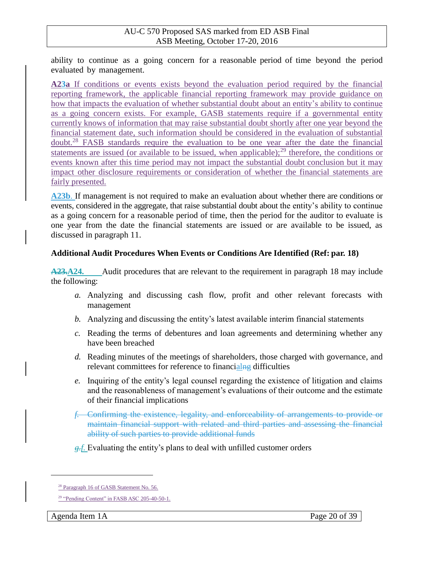ability to continue as a going concern for a reasonable period of time beyond the period evaluated by management.

**A23a** If conditions or events exists beyond the evaluation period required by the financial reporting framework, the applicable financial reporting framework may provide guidance on how that impacts the evaluation of whether substantial doubt about an entity's ability to continue as a going concern exists. For example, GASB statements require if a governmental entity currently knows of information that may raise substantial doubt shortly after one year beyond the financial statement date, such information should be considered in the evaluation of substantial doubt.<sup>28</sup> FASB standards require the evaluation to be one year after the date the financial statements are issued (or available to be issued, when applicable); $^{29}$  therefore, the conditions or events known after this time period may not impact the substantial doubt conclusion but it may impact other disclosure requirements or consideration of whether the financial statements are fairly presented.

**A23b**. If management is not required to make an evaluation about whether there are conditions or events, considered in the aggregate, that raise substantial doubt about the entity's ability to continue as a going concern for a reasonable period of time, then the period for the auditor to evaluate is one year from the date the financial statements are issued or are available to be issued, as discussed in paragraph [11.](#page-5-0)

#### **Additional Audit Procedures When Events or Conditions Are Identified (Ref: par. [18\)](#page-6-0)**

<span id="page-19-0"></span>**A23.A24.** Audit procedures that are relevant to the requirement in paragraph [18](#page-6-0) may include the following:

- *a.* Analyzing and discussing cash flow, profit and other relevant forecasts with management
- *b.* Analyzing and discussing the entity's latest available interim financial statements
- *c.* Reading the terms of debentures and loan agreements and determining whether any have been breached
- *d.* Reading minutes of the meetings of shareholders, those charged with governance, and relevant committees for reference to financial **ne** difficulties
- *e.* Inquiring of the entity's legal counsel regarding the existence of litigation and claims and the reasonableness of management's evaluations of their outcome and the estimate of their financial implications
- *f.* Confirming the existence, legality, and enforceability of arrangements to provide or maintain financial support with related and third parties and assessing the financial ability of such parties to provide additional funds
- *g.f.* Evaluating the entity's plans to deal with unfilled customer orders

Agenda Item 1A Page 20 of 39

<sup>&</sup>lt;sup>28</sup> Paragraph 16 of GASB Statement No. 56.

<sup>29</sup> "Pending Content" in FASB ASC 205-40-50-1.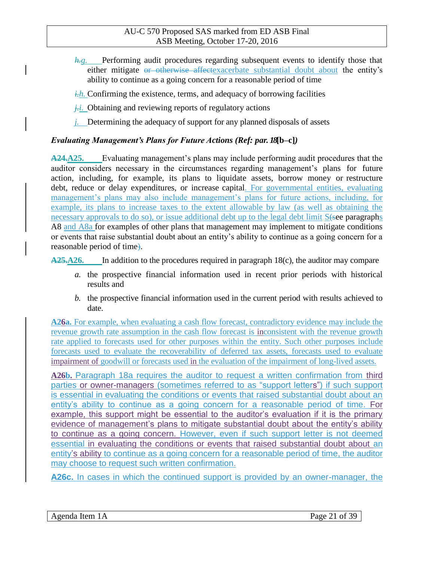*h.g.* Performing audit procedures regarding subsequent events to identify those that either mitigate or otherwise affectexacerbate substantial doubt about the entity's ability to continue as a going concern for a reasonable period of time

 $\frac{\partial}{\partial t}$ . Confirming the existence, terms, and adequacy of borrowing facilities

*j.i.* Obtaining and reviewing reports of regulatory actions

*j.* Determining the adequacy of support for any planned disposals of assets

#### *Evaluating Management's Plans for Future Actions (Ref: par. [18](#page-6-0)***[b–c]***)*

<span id="page-20-0"></span>**A24.A25.** Evaluating management's plans may include performing audit procedures that the auditor considers necessary in the circumstances regarding management's plans for future action, including, for example, its plans to liquidate assets, borrow money or restructure debt, reduce or delay expenditures, or increase capital. For governmental entities, evaluating management's plans may also include management's plans for future actions, including, for example, its plans to increase taxes to the extent allowable by law (as well as obtaining the necessary approvals to do so), or issue additional debt up to the legal debt limit S(see paragraphs [A8](#page-14-0) and A8a for examples of other plans that management may implement to mitigate conditions or events that raise substantial doubt about an entity's ability to continue as a going concern for a reasonable period of time).

<span id="page-20-1"></span>**A25.A26.** In addition to the procedures required in paragraph [18\(](#page-6-0)c), the auditor may compare

- *a.* the prospective financial information used in recent prior periods with historical results and
- *b.* the prospective financial information used in the current period with results achieved to date.

**A26a.** For example, when evaluating a cash flow forecast, contradictory evidence may include the revenue growth rate assumption in the cash flow forecast is inconsistent with the revenue growth rate applied to forecasts used for other purposes within the entity. Such other purposes include forecasts used to evaluate the recoverability of deferred tax assets, forecasts used to evaluate impairment of goodwill or forecasts used in the evaluation of the impairment of long-lived assets.

**A26b.** Paragraph 18a requires the auditor to request a written confirmation from third parties or owner-managers (sometimes referred to as "support letters") if such support is essential in evaluating the conditions or events that raised substantial doubt about an entity's ability to continue as a going concern for a reasonable period of time. For example, this support might be essential to the auditor's evaluation if it is the primary evidence of management's plans to mitigate substantial doubt about the entity's ability to continue as a going concern. However, even if such support letter is not deemed essential in evaluating the conditions or events that raised substantial doubt about an entity's ability to continue as a going concern for a reasonable period of time, the auditor may choose to request such written confirmation.

**A26c.** In cases in which the continued support is provided by an owner-manager, the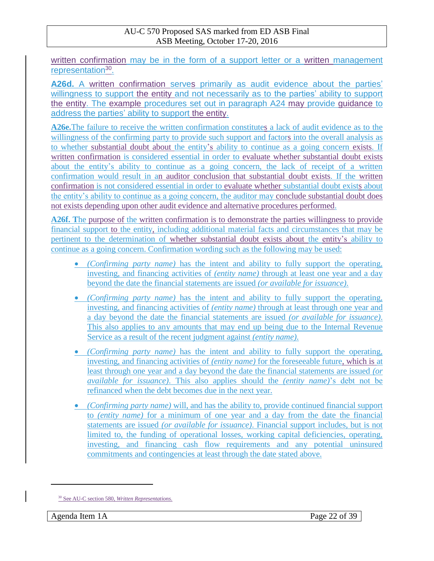written confirmation may be in the form of a support letter or a written management representation<sup>30</sup>.

**A26d.** A written confirmation serves primarily as audit evidence about the parties' willingness to support the entity and not necessarily as to the parties' ability to support the entity. The example procedures set out in paragraph A24 may provide guidance to address the parties' ability to support the entity.

**A26e.**The failure to receive the written confirmation constitutes a lack of audit evidence as to the willingness of the confirming party to provide such support and factors into the overall analysis as to whether substantial doubt about the entity's ability to continue as a going concern exists. If written confirmation is considered essential in order to evaluate whether substantial doubt exists about the entity's ability to continue as a going concern, the lack of receipt of a written confirmation would result in an auditor conclusion that substantial doubt exists. If the written confirmation is not considered essential in order to evaluate whether substantial doubt exists about the entity's ability to continue as a going concern, the auditor may conclude substantial doubt does not exists depending upon other audit evidence and alternative procedures performed.

**A26f. T**he purpose of the written confirmation is to demonstrate the parties willingness to provide financial support to the entity, including additional material facts and circumstances that may be pertinent to the determination of whether substantial doubt exists about the entity's ability to continue as a going concern. Confirmation wording such as the following may be used:

- *(Confirming party name)* has the intent and ability to fully support the operating, investing, and financing activities of *(entity name)* through at least one year and a day beyond the date the financial statements are issued *(or available for issuance)*.
- *(Confirming party name)* has the intent and ability to fully support the operating, investing, and financing activities of *(entity name)* through at least through one year and a day beyond the date the financial statements are issued *(or available for issuance)*. This also applies to any amounts that may end up being due to the Internal Revenue Service as a result of the recent judgment against *(entity name)*.
- *(Confirming party name)* has the intent and ability to fully support the operating, investing, and financing activities of *(entity name)* for the foreseeable future, which is at least through one year and a day beyond the date the financial statements are issued *(or available for issuance)*. This also applies should the *(entity name)*'s debt not be refinanced when the debt becomes due in the next year.
- *(Confirming party name)* will, and has the ability to, provide continued financial support to *(entity name)* for a minimum of one year and a day from the date the financial statements are issued *(or available for issuance)*. Financial support includes, but is not limited to, the funding of operational losses, working capital deficiencies, operating, investing, and financing cash flow requirements and any potential uninsured commitments and contingencies at least through the date stated above.

Agenda Item 1A Page 22 of 39

<sup>30</sup> See AU-C section 580, *Written Representations.*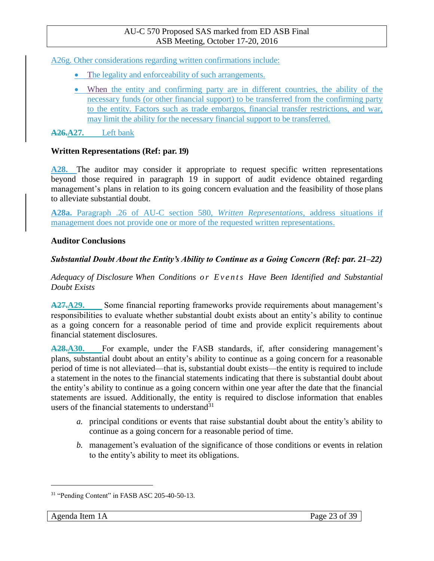A26g. Other considerations regarding written confirmations include:

- The legality and enforceability of such arrangements.
- When the entity and confirming party are in different countries, the ability of the necessary funds (or other financial support) to be transferred from the confirming party to the entity. Factors such as trade embargos, financial transfer restrictions, and war, may limit the ability for the necessary financial support to be transferred.

**A26.A27.** Left bank

#### **Written Representations (Ref: par. [19\)](#page-7-0)**

<span id="page-22-0"></span>**A28.** The auditor may consider it appropriate to request specific written representations beyond those required in paragraph [19](#page-7-0) in support of audit evidence obtained regarding management's plans in relation to its going concern evaluation and the feasibility of those plans to alleviate substantial doubt.

**A28a.** Paragraph .26 of AU-C section 580, *Written Representations*, address situations if management does not provide one or more of the requested written representations.

#### **Auditor Conclusions**

#### *Substantial Doubt About the Entity's Ability to Continue as a Going Concern (Ref: par. [21](#page-7-1)[–22\)](#page-8-0)*

*Adequacy of Disclosure When Conditions o r E v e n t s Have Been Identified and Substantial Doubt Exists*

<span id="page-22-1"></span>**A27.A29.** Some financial reporting frameworks provide requirements about management's responsibilities to evaluate whether substantial doubt exists about an entity's ability to continue as a going concern for a reasonable period of time and provide explicit requirements about financial statement disclosures.

<span id="page-22-2"></span>**A28.A30.** For example, under the FASB standards, if, after considering management's plans, substantial doubt about an entity's ability to continue as a going concern for a reasonable period of time is not alleviated—that is, substantial doubt exists—the entity is required to include a statement in the notes to the financial statements indicating that there is substantial doubt about the entity's ability to continue as a going concern within one year after the date that the financial statements are issued. Additionally, the entity is required to disclose information that enables users of the financial statements to understand $31$ 

- *a.* principal conditions or events that raise substantial doubt about the entity's ability to continue as a going concern for a reasonable period of time.
- *b.* management's evaluation of the significance of those conditions or events in relation to the entity's ability to meet its obligations.

<sup>&</sup>lt;sup>31</sup> "Pending Content" in FASB ASC 205-40-50-13.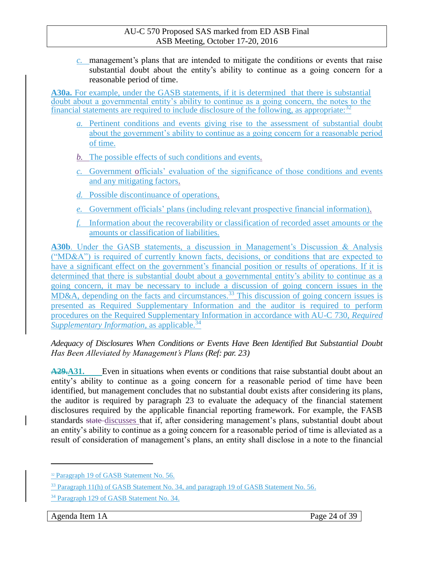*c.* management's plans that are intended to mitigate the conditions or events that raise substantial doubt about the entity's ability to continue as a going concern for a reasonable period of time.

**A30a.** For example, under the GASB statements, if it is determined that there is substantial doubt about a governmental entity's ability to continue as a going concern, the notes to the financial statements are required to include disclosure of the following, as appropriate: $32$ 

- *a.* Pertinent conditions and events giving rise to the assessment of substantial doubt about the government's ability to continue as a going concern for a reasonable period of time.
- *b.* The possible effects of such conditions and events.
- *c.* Government officials' evaluation of the significance of those conditions and events and any mitigating factors.
- *d.* Possible discontinuance of operations.
- *e.* Government officials' plans (including relevant prospective financial information).
- *f.* Information about the recoverability or classification of recorded asset amounts or the amounts or classification of liabilities.

**A30b**. Under the GASB statements, a discussion in Management's Discussion & Analysis ("MD&A") is required of currently known facts, decisions, or conditions that are expected to have a significant effect on the government's financial position or results of operations. If it is determined that there is substantial doubt about a governmental entity's ability to continue as a going concern, it may be necessary to include a discussion of going concern issues in the  $MD&A$ , depending on the facts and circumstances.<sup>33</sup> This discussion of going concern issues is presented as Required Supplementary Information and the auditor is required to perform procedures on the Required Supplementary Information in accordance with AU-C 730, *Required Supplementary Information*, as applicable.<sup>34</sup>

*Adequacy of Disclosures When Conditions or Events Have Been Identified But Substantial Doubt Has Been Alleviated by Management's Plans (Ref: par. [23\)](#page-8-1)*

<span id="page-23-0"></span>**A29.A31.** Even in situations when events or conditions that raise substantial doubt about an entity's ability to continue as a going concern for a reasonable period of time have been identified, but management concludes that no substantial doubt exists after considering its plans, the auditor is required by paragraph [23](#page-8-1) to evaluate the adequacy of the financial statement disclosures required by the applicable financial reporting framework. For example, the FASB standards state discusses that if, after considering management's plans, substantial doubt about an entity's ability to continue as a going concern for a reasonable period of time is alleviated as a result of consideration of management's plans, an entity shall disclose in a note to the financial

<sup>&</sup>lt;sup>32</sup> Paragraph 19 of GASB Statement No. 56.

<sup>&</sup>lt;sup>33</sup> Paragraph 11(h) of GASB Statement No. 34, and paragraph 19 of GASB Statement No. 56.

<sup>&</sup>lt;sup>34</sup> Paragraph 129 of GASB Statement No. 34.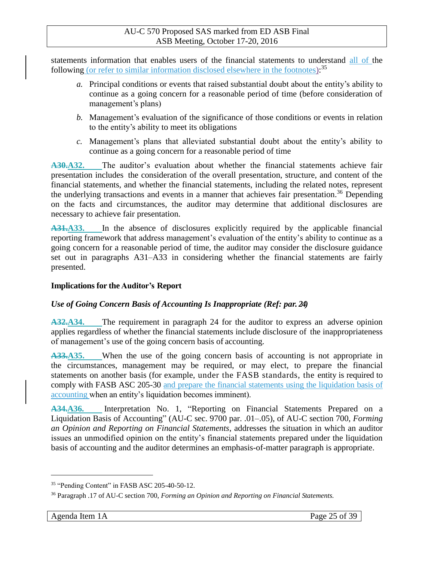statements information that enables users of the financial statements to understand all of the following (or refer to similar information disclosed elsewhere in the footnotes).<sup>35</sup>

- *a.* Principal conditions or events that raised substantial doubt about the entity's ability to continue as a going concern for a reasonable period of time (before consideration of management's plans)
- *b.* Management's evaluation of the significance of those conditions or events in relation to the entity's ability to meet its obligations
- *c.* Management's plans that alleviated substantial doubt about the entity's ability to continue as a going concern for a reasonable period of time

<span id="page-24-3"></span>**A30.A32.** The auditor's evaluation about whether the financial statements achieve fair presentation includes the consideration of the overall presentation, structure, and content of the financial statements, and whether the financial statements, including the related notes, represent the underlying transactions and events in a manner that achieves fair presentation.<sup>36</sup> Depending on the facts and circumstances, the auditor may determine that additional disclosures are necessary to achieve fair presentation.

<span id="page-24-0"></span>**A31.A33.** In the absence of disclosures explicitly required by the applicable financial reporting framework that address management's evaluation of the entity's ability to continue as a going concern for a reasonable period of time, the auditor may consider the disclosure guidance set out in paragraphs [A31–](#page-22-2)[A33](#page-24-3) in considering whether the financial statements are fairly presented.

### **Implications for the Auditor's Report**

#### *Use of Going Concern Basis of Accounting Is Inappropriate (Ref: par. [24\)](#page-8-2)*

<span id="page-24-1"></span>**A32.A34.** The requirement in paragraph [24](#page-8-2) for the auditor to express an adverse opinion applies regardless of whether the financial statements include disclosure of the inappropriateness of management's use of the going concern basis of accounting.

**A33.A35.** When the use of the going concern basis of accounting is not appropriate in the circumstances, management may be required, or may elect, to prepare the financial statements on another basis (for example, under the FASB standards, the entity is required to comply with FASB ASC 205-30 and prepare the financial statements using the liquidation basis of accounting when an entity's liquidation becomes imminent).

<span id="page-24-2"></span>**A34.A36.** Interpretation No. 1, "Reporting on Financial Statements Prepared on a Liquidation Basis of Accounting" (AU-C sec. 9700 par. .01–.05), of AU-C section 700, *Forming an Opinion and Reporting on Financial Statements*, addresses the situation in which an auditor issues an unmodified opinion on the entity's financial statements prepared under the liquidation basis of accounting and the auditor determines an emphasis-of-matter paragraph is appropriate.

<sup>35</sup> "Pending Content" in FASB ASC 205-40-50-12.

<sup>36</sup> Paragraph .17 of AU-C section 700, *Forming an Opinion and Reporting on Financial Statements.*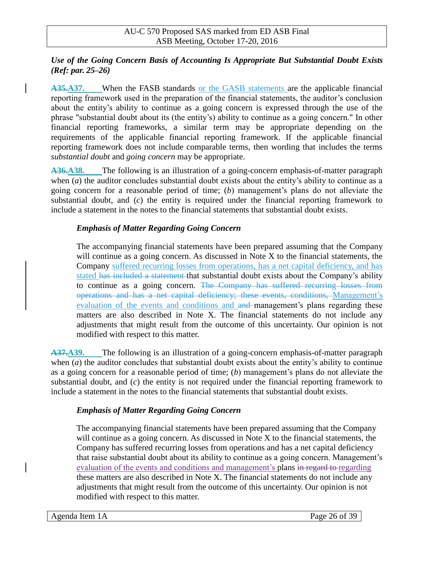### *Use of the Going Concern Basis of Accounting Is Appropriate But Substantial Doubt Exists (Ref: par. [25‒](#page-8-3)[26\)](#page-8-4)*

<span id="page-25-0"></span>**A35.A37.** When the FASB standards or the GASB statements are the applicable financial reporting framework used in the preparation of the financial statements, the auditor's conclusion about the entity's ability to continue as a going concern is expressed through the use of the phrase "substantial doubt about its (the entity's) ability to continue as a going concern." In other financial reporting frameworks, a similar term may be appropriate depending on the requirements of the applicable financial reporting framework. If the applicable financial reporting framework does not include comparable terms, then wording that includes the terms *substantial doubt* and *going concern* may be appropriate.

**A36.A38.** The following is an illustration of a going-concern emphasis-of-matter paragraph when (*a*) the auditor concludes substantial doubt exists about the entity's ability to continue as a going concern for a reasonable period of time; (*b*) management's plans do not alleviate the substantial doubt, and (*c*) the entity is required under the financial reporting framework to include a statement in the notes to the financial statements that substantial doubt exists.

#### *Emphasis of Matter Regarding Going Concern*

The accompanying financial statements have been prepared assuming that the Company will continue as a going concern. As discussed in Note X to the financial statements, the Company suffered recurring losses from operations, has a net capital deficiency, and has stated has included a statement that substantial doubt exists about the Company's ability to continue as a going concern. The Company has suffered recurring losses from operations and has a net capital deficiency; these events, conditions, Management's evaluation of the events and conditions and and management's plans regarding these matters are also described in Note X. The financial statements do not include any adjustments that might result from the outcome of this uncertainty. Our opinion is not modified with respect to this matter.

**A37.A39.** The following is an illustration of a going-concern emphasis-of-matter paragraph when (*a*) the auditor concludes that substantial doubt exists about the entity's ability to continue as a going concern for a reasonable period of time; (*b*) management's plans do not alleviate the substantial doubt, and (*c*) the entity is not required under the financial reporting framework to include a statement in the notes to the financial statements that substantial doubt exists.

#### *Emphasis of Matter Regarding Going Concern*

The accompanying financial statements have been prepared assuming that the Company will continue as a going concern. As discussed in Note X to the financial statements, the Company has suffered recurring losses from operations and has a net capital deficiency that raise substantial doubt about its ability to continue as a going concern. Management's evaluation of the events and conditions and management's plans in regard to regarding these matters are also described in Note X. The financial statements do not include any adjustments that might result from the outcome of this uncertainty. Our opinion is not modified with respect to this matter.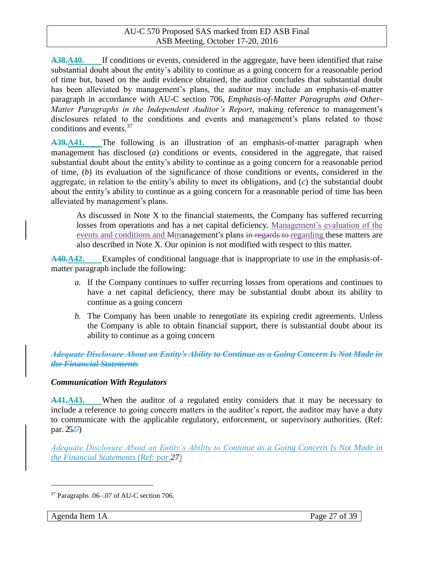**A38.A40.** If conditions or events, considered in the aggregate, have been identified that raise substantial doubt about the entity's ability to continue as a going concern for a reasonable period of time but, based on the audit evidence obtained, the auditor concludes that substantial doubt has been alleviated by management's plans, the auditor may include an emphasis-of-matter paragraph in accordance with AU-C section 706, *Emphasis-of-Matter Paragraphs and Other-Matter Paragraphs in the Independent Auditor's Report*, making reference to management's disclosures related to the conditions and events and management's plans related to those conditions and events.<sup>37</sup>

**A39.A41.** The following is an illustration of an emphasis-of-matter paragraph when management has disclosed (*a*) conditions or events, considered in the aggregate, that raised substantial doubt about the entity's ability to continue as a going concern for a reasonable period of time, (*b*) its evaluation of the significance of those conditions or events, considered in the aggregate, in relation to the entity's ability to meet its obligations, and (*c*) the substantial doubt about the entity's ability to continue as a going concern for a reasonable period of time has been alleviated by management's plans.

As discussed in Note X to the financial statements, the Company has suffered recurring losses from operations and has a net capital deficiency. Management's evaluation of the events and conditions and Mmanagement's plans in regards to regarding these matters are also described in Note X. Our opinion is not modified with respect to this matter.

**A40.A42.** Examples of conditional language that is inappropriate to use in the emphasis-ofmatter paragraph include the following:

- *a.* If the Company continues to suffer recurring losses from operations and continues to have a net capital deficiency, there may be substantial doubt about its ability to continue as a going concern
- *b.* The Company has been unable to renegotiate its expiring credit agreements. Unless the Company is able to obtain financial support, there is substantial doubt about its ability to continue as a going concern

*Adequate Disclosure About an Entity's Ability to Continue as a Going Concern Is Not Made in the Financial Statements* 

#### *Communication With Regulators*

<span id="page-26-0"></span>**A41.A43.** When the auditor of a regulated entity considers that it may be necessary to include a reference to going concern matters in the auditor's report, the auditor may have a duty to communicate with the applicable regulatory, enforcement, or supervisory authorities. (Ref: par. [2527\)](#page-8-3)

*Adequate Disclosure About an Entity's Ability to Continue as a Going Concern Is Not Made in the Financial Statements (Ref: par[.27\)](#page-8-5)*

<sup>37</sup> Paragraphs .06–.07 of AU-C section 706*.*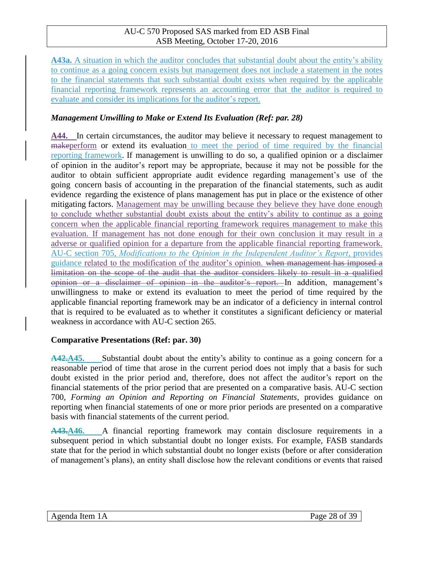**A43a.** A situation in which the auditor concludes that substantial doubt about the entity's ability to continue as a going concern exists but management does not include a statement in the notes to the financial statements that such substantial doubt exists when required by the applicable financial reporting framework represents an accounting error that the auditor is required to evaluate and consider its implications for the auditor's report.

# *Management Unwilling to Make or Extend Its Evaluation (Ref: par. [28\)](#page-9-0)*

<span id="page-27-0"></span>**A44.** In certain circumstances, the auditor may believe it necessary to request management to makeperform or extend its evaluation to meet the period of time required by the financial reporting framework. If management is unwilling to do so, a qualified opinion or a disclaimer of opinion in the auditor's report may be appropriate, because it may not be possible for the auditor to obtain sufficient appropriate audit evidence regarding management's use of the going concern basis of accounting in the preparation of the financial statements, such as audit evidence regarding the existence of plans management has put in place or the existence of other mitigating factors. Management may be unwilling because they believe they have done enough to conclude whether substantial doubt exists about the entity's ability to continue as a going concern when the applicable financial reporting framework requires management to make this evaluation. If management has not done enough for their own conclusion it may result in a adverse or qualified opinion for a departure from the applicable financial reporting framework. AU-C section 705, *Modifications to the Opinion in the Independent Auditor's Report*, provides guidance related to the modification of the auditor's opinion. when management has imposed a limitation on the scope of the audit that the auditor considers likely to result in a qualified opinion or a disclaimer of opinion in the auditor's report. In addition, management's unwillingness to make or extend its evaluation to meet the period of time required by the applicable financial reporting framework may be an indicator of a deficiency in internal control that is required to be evaluated as to whether it constitutes a significant deficiency or material weakness in accordance with AU-C section 265.

#### **Comparative Presentations (Ref: par. [30\)](#page-9-1)**

<span id="page-27-1"></span>**A42.A45.** Substantial doubt about the entity's ability to continue as a going concern for a reasonable period of time that arose in the current period does not imply that a basis for such doubt existed in the prior period and, therefore, does not affect the auditor's report on the financial statements of the prior period that are presented on a comparative basis. AU-C section 700, *Forming an Opinion and Reporting on Financial Statements*, provides guidance on reporting when financial statements of one or more prior periods are presented on a comparative basis with financial statements of the current period.

<span id="page-27-2"></span>**A43.A46.** A financial reporting framework may contain disclosure requirements in a subsequent period in which substantial doubt no longer exists. For example, FASB standards state that for the period in which substantial doubt no longer exists (before or after consideration of management's plans), an entity shall disclose how the relevant conditions or events that raised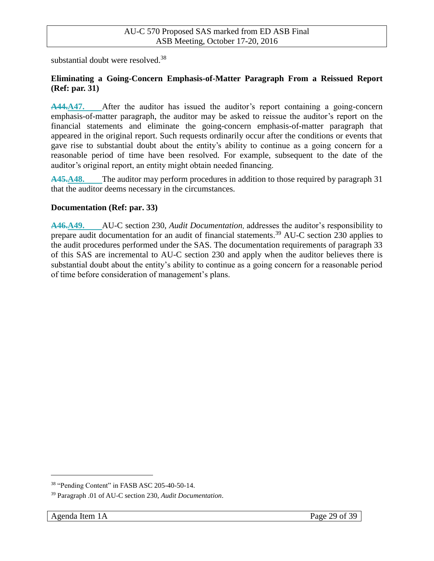substantial doubt were resolved.<sup>38</sup>

#### **Eliminating a Going-Concern Emphasis-of-Matter Paragraph From a Reissued Report (Ref: par. [31\)](#page-9-2)**

<span id="page-28-0"></span>**A44.A47.** After the auditor has issued the auditor's report containing a going-concern emphasis-of-matter paragraph, the auditor may be asked to reissue the auditor's report on the financial statements and eliminate the going-concern emphasis-of-matter paragraph that appeared in the original report. Such requests ordinarily occur after the conditions or events that gave rise to substantial doubt about the entity's ability to continue as a going concern for a reasonable period of time have been resolved. For example, subsequent to the date of the auditor's original report, an entity might obtain needed financing.

<span id="page-28-1"></span>**A45.A48.** The auditor may perform procedures in addition to those required by paragraph [31](#page-9-2) that the auditor deems necessary in the circumstances.

#### **Documentation (Ref: par. [33\)](#page-10-0)**

<span id="page-28-2"></span>**A46.A49.** AU-C section 230, *Audit Documentation*, addresses the auditor's responsibility to prepare audit documentation for an audit of financial statements.<sup>39</sup> AU-C section 230 applies to the audit procedures performed under the SAS. The documentation requirements of paragraph 33 of this SAS are incremental to AU-C section 230 and apply when the auditor believes there is substantial doubt about the entity's ability to continue as a going concern for a reasonable period of time before consideration of management's plans.

<sup>38</sup> "Pending Content" in FASB ASC 205-40-50-14.

<sup>39</sup> Paragraph .01 of AU-C section 230, *Audit Documentation*.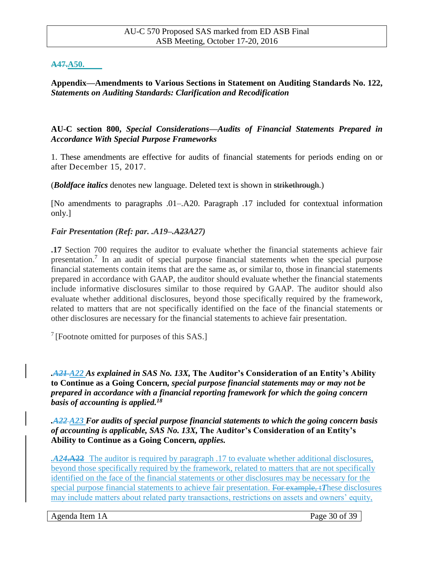#### **A47.A50.**

**Appendix—Amendments to Various Sections in Statement on Auditing Standards No. 122,**  *Statements on Auditing Standards: Clarification and Recodification*

**AU-C section 800,** *Special Considerations—Audits of Financial Statements Prepared in Accordance With Special Purpose Frameworks*

1. These amendments are effective for audits of financial statements for periods ending on or after December 15, 2017.

(*Boldface italics* denotes new language. Deleted text is shown in strikethrough.)

[No amendments to paragraphs .01–.A20. Paragraph .17 included for contextual information only.]

#### *Fair Presentation (Ref: par. .A19–.A23A27)*

**.17** Section 700 requires the auditor to evaluate whether the financial statements achieve fair presentation.<sup>[7](https://checkpoint.riag.com/app/view/docText?usid=398859lefee9&DocID=iPROFSTDS%3A16141.1&docTid=T0PROFSTDS%3A16141.1-1&feature=ttoc&lastCpReqId=7672103#FN 7)</sup> In an audit of special purpose financial statements when the special purpose financial statements contain items that are the same as, or similar to, those in financial statements prepared in accordance with GAAP, the auditor should evaluate whether the financial statements include informative disclosures similar to those required by GAAP. The auditor should also evaluate whether additional disclosures, beyond those specifically required by the framework, related to matters that are not specifically identified on the face of the financial statements or other disclosures are necessary for the financial statements to achieve fair presentation.

 $\frac{7}{7}$ [Footnote omitted for purposes of this SAS.]

*.A21 A22 As explained in SAS No. 13X,* **The Auditor's Consideration of an Entity's Ability to Continue as a Going Concern***, special purpose financial statements may or may not be prepared in accordance with a financial reporting framework for which the going concern basis of accounting is applied.<sup>18</sup>*

*.A22 A23 For audits of special purpose financial statements to which the going concern basis of accounting is applicable, SAS No. 13X,* **The Auditor's Consideration of an Entity's Ability to Continue as a Going Concern***, applies.*

*.A24***.A22** The auditor is required by paragraph .17 to evaluate whether additional disclosures, beyond those specifically required by the framework, related to matters that are not specifically identified on the face of the financial statements or other disclosures may be necessary for the special purpose financial statements to achieve fair presentation. For example, t*T*hese disclosures may include matters about related party transactions, restrictions on assets and owners' equity,

Agenda Item 1A Page 30 of 39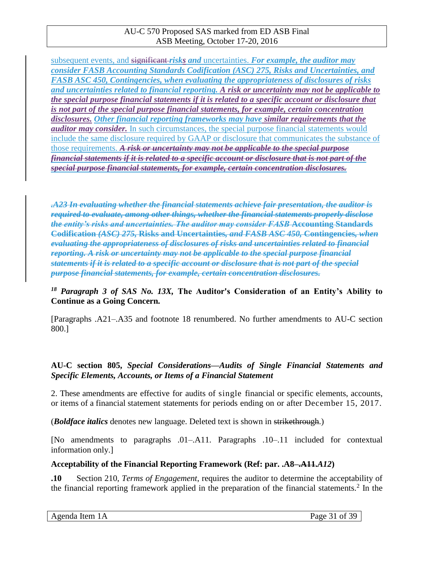subsequent events, and significant *risks and* uncertainties. *For example, the auditor may consider FASB Accounting Standards Codification (ASC) 275, Risks and Uncertainties, and FASB ASC 450, Contingencies, when evaluating the appropriateness of disclosures of risks and uncertainties related to financial reporting. A risk or uncertainty may not be applicable to the special purpose financial statements if it is related to a specific account or disclosure that is not part of the special purpose financial statements, for example, certain concentration disclosures. Other financial reporting frameworks may have similar requirements that the auditor may consider.* In such circumstances, the special purpose financial statements would include the same disclosure required by GAAP or disclosure that communicates the substance of those requirements. *A risk or uncertainty may not be applicable to the special purpose financial statements if it is related to a specific account or disclosure that is not part of the special purpose financial statements, for example, certain concentration disclosures.*

*.A23 In evaluating whether the financial statements achieve fair presentation, the auditor is required to evaluate, among other things, whether the financial statements properly disclose the entity's risks and uncertainties. The auditor may consider FASB* **Accounting Standards Codification** *(ASC) 275,* **Risks and Uncertainties***, and FASB ASC 450,* **Contingencies***, when evaluating the appropriateness of disclosures of risks and uncertainties related to financial reporting. A risk or uncertainty may not be applicable to the special purpose financial statements if it is related to a specific account or disclosure that is not part of the special purpose financial statements, for example, certain concentration disclosures.*

#### *<sup>18</sup> Paragraph 3 of SAS No. 13X,* **The Auditor's Consideration of an Entity's Ability to Continue as a Going Concern***.*

[Paragraphs .A21–.A35 and footnote 18 renumbered. No further amendments to AU-C section 800.]

#### **AU-C section 805,** *Special Considerations—Audits of Single Financial Statements and Specific Elements, Accounts, or Items of a Financial Statement*

2. These amendments are effective for audits of single financial or specific elements, accounts, or items of a financial statement statements for periods ending on or after December 15, 2017.

(*Boldface italics* denotes new language. Deleted text is shown in strikethrough.)

[No amendments to paragraphs .01–.A11. Paragraphs .10–.11 included for contextual information only.]

#### **Acceptability of the Financial Reporting Framework (Ref: par. .A8–.A11.***A12***)**

**.10** Section 210, *Terms of Engagement*, requires the auditor to determine the acceptability of the financial reporting framework applied in the preparation of the financial statements.<sup>2</sup> In the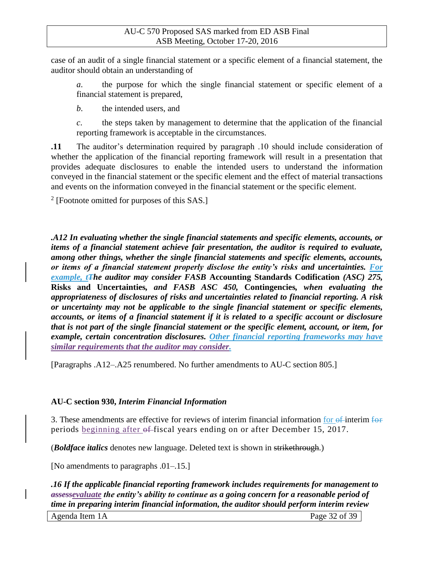case of an audit of a single financial statement or a specific element of a financial statement, the auditor should obtain an understanding of

*a*. the purpose for which the single financial statement or specific element of a financial statement is prepared,

*b*. the intended users, and

*c*. the steps taken by management to determine that the application of the financial reporting framework is acceptable in the circumstances.

**.11** The auditor's determination required by paragraph .10 should include consideration of whether the application of the financial reporting framework will result in a presentation that provides adequate disclosures to enable the intended users to understand the information conveyed in the financial statement or the specific element and the effect of material transactions and events on the information conveyed in the financial statement or the specific element.

<sup>2</sup> [Footnote omitted for purposes of this SAS.]

*.A12 In evaluating whether the single financial statements and specific elements, accounts, or items of a financial statement achieve fair presentation, the auditor is required to evaluate, among other things, whether the single financial statements and specific elements, accounts, or items of a financial statement properly disclose the entity's risks and uncertainties. For example, tThe auditor may consider FASB* **Accounting Standards Codification** *(ASC) 275,*  **Risks and Uncertainties***, and FASB ASC 450,* **Contingencies***, when evaluating the appropriateness of disclosures of risks and uncertainties related to financial reporting. A risk or uncertainty may not be applicable to the single financial statement or specific elements, accounts, or items of a financial statement if it is related to a specific account or disclosure that is not part of the single financial statement or the specific element, account, or item, for example, certain concentration disclosures. Other financial reporting frameworks may have similar requirements that the auditor may consider.*

[Paragraphs .A12–.A25 renumbered. No further amendments to AU-C section 805.]

#### **AU-C section 930,** *Interim Financial Information*

3. These amendments are effective for reviews of interim financial information for  $\Theta$ -interim for periods beginning after of fiscal years ending on or after December 15, 2017.

(*Boldface italics* denotes new language. Deleted text is shown in strikethrough.)

[No amendments to paragraphs .01–.15.]

*.16 If the applicable financial reporting framework includes requirements for management to assessevaluate the entity's ability to continue as a going concern for a reasonable period of time in preparing interim financial information, the auditor should perform interim review* 

Agenda Item 1A Page 32 of 39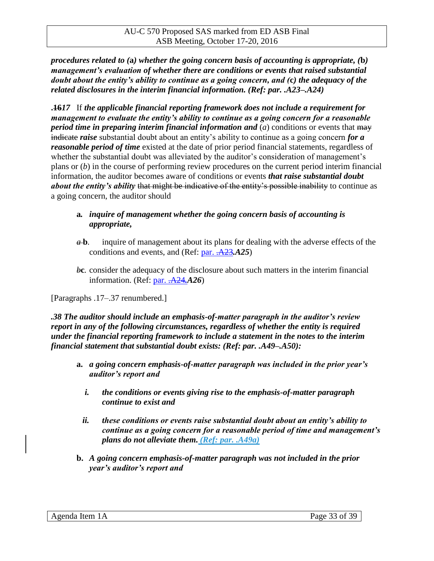*procedures related to (***a***) whether the going concern basis of accounting is appropriate, (***b***) management's evaluation of whether there are conditions or events that raised substantial doubt about the entity's ability to continue as a going concern, and (***c***) the adequacy of the related disclosures in the interim financial information. (Ref: par. .A23–.A24)*

**.16***17* If *the applicable financial reporting framework does not include a requirement for management to evaluate the entity's ability to continue as a going concern for a reasonable period time in preparing interim financial information and* (*a*) conditions or events that  $\frac{m}{m}$ indicate *raise* substantial doubt about an entity's ability to continue as a going concern *for a reasonable period of time* existed at the date of prior period financial statements, regardless of whether the substantial doubt was alleviated by the auditor's consideration of management's plans or (*b*) in the course of performing review procedures on the current period interim financial information, the auditor becomes aware of conditions or events *that raise substantial doubt about the entity's ability* that might be indicative of the entity's possible inability to continue as a going concern, the auditor should

#### **a***. inquire of management whether the going concern basis of accounting is appropriate,*

- *a* **b***.* inquire of management about its plans for dealing with the adverse effects of the conditions and events, and (Ref: par. .A23*.A25*)
- *b***c***.* consider the adequacy of the disclosure about such matters in the interim financial information. (Ref: par. .A24*.A26*)

[Paragraphs .17–.37 renumbered.]

*.38 The auditor should include an emphasis-of-matter paragraph in the auditor's review report in any of the following circumstances, regardless of whether the entity is required under the financial reporting framework to include a statement in the notes to the interim financial statement that substantial doubt exists: (Ref: par. .A49–.A50):*

- **a.** *a going concern emphasis-of-matter paragraph was included in the prior year's auditor's report and*
	- *i. the conditions or events giving rise to the emphasis-of-matter paragraph continue to exist and*
	- *ii. these conditions or events raise substantial doubt about an entity's ability to continue as a going concern for a reasonable period of time and management's plans do not alleviate them. (Ref: par. .A49a)*
- **b.** *A going concern emphasis-of-matter paragraph was not included in the prior year's auditor's report and*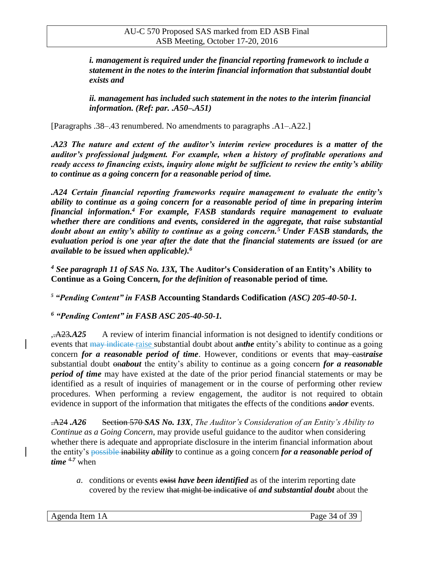*i. management is required under the financial reporting framework to include a statement in the notes to the interim financial information that substantial doubt exists and* 

*ii. management has included such statement in the notes to the interim financial information. (Ref: par. .A50–.A51)*

[Paragraphs .38–.43 renumbered. No amendments to paragraphs .A1–.A22.]

*.A23 The nature and extent of the auditor's interim review procedures is a matter of the auditor's professional judgment. For example, when a history of profitable operations and ready access to financing exists, inquiry alone might be sufficient to review the entity's ability to continue as a going concern for a reasonable period of time.*

*.A24 Certain financial reporting frameworks require management to evaluate the entity's ability to continue as a going concern for a reasonable period of time in preparing interim financial information. <sup>4</sup> For example, FASB standards require management to evaluate whether there are conditions and events, considered in the aggregate, that raise substantial doubt about an entity's ability to continue as a going concern.<sup>5</sup> Under FASB standards, the evaluation period is one year after the date that the financial statements are issued (or are available to be issued when applicable).<sup>6</sup>*

*<sup>4</sup> See paragraph 11 of SAS No. 13X,* **The Auditor's Consideration of an Entity's Ability to Continue as a Going Concern***, for the definition of* **reasonable period of time***.*

*5 "Pending Content" in FASB* **Accounting Standards Codification** *(ASC) 205-40-50-1.*

*<sup>6</sup> "Pending Content" in FASB ASC 205-40-50-1.*

,.A23*.A25* A review of interim financial information is not designed to identify conditions or events that may indicate raise substantial doubt about an*the* entity's ability to continue as a going concern *for a reasonable period of time*. However, conditions or events that may castraise substantial doubt on*about* the entity's ability to continue as a going concern *for a reasonable period of time* may have existed at the date of the prior period financial statements or may be identified as a result of inquiries of management or in the course of performing other review procedures. When performing a review engagement, the auditor is not required to obtain evidence in support of the information that mitigates the effects of the conditions and*or* events.

.A24 *.A26* Section 570 *SAS No. 13X*, *The Auditor's Consideration of an Entity's Ability to Continue as a Going Concern*, may provide useful guidance to the auditor when considering whether there is adequate and appropriate disclosure in the interim financial information about the entity's possible inability *ability* to continue as a going concern *for a reasonable period of time*  $47$  when

*a*. conditions or events exist *have been identified* as of the interim reporting date covered by the review that might be indicative of *and substantial doubt* about the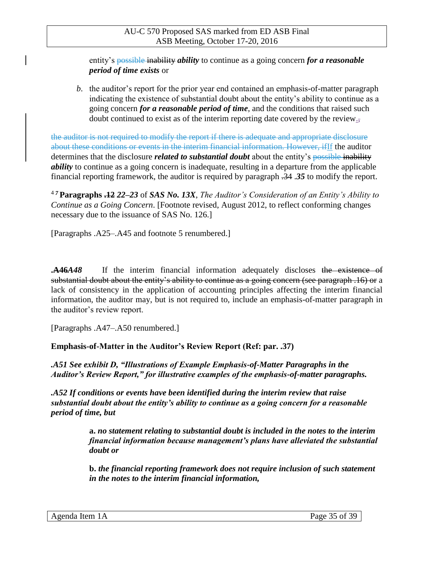entity's possible inability *ability* to continue as a going concern *for a reasonable period of time exists* or

*b*. the auditor's report for the prior year end contained an emphasis-of-matter paragraph indicating the existence of substantial doubt about the entity's ability to continue as a going concern *for a reasonable period of time*, and the conditions that raised such doubt continued to exist as of the interim reporting date covered by the review.,

the auditor is not required to modify the report if there is adequate and appropriate disclosure about these conditions or events in the interim financial information. However, ifIf the auditor determines that the disclosure *related to substantial doubt* about the entity's possible inability *ability* to continue as a going concern is inadequate, resulting in a departure from the applicable financial reporting framework, the auditor is required by paragraph .34 .*35* to modify the report.

<sup>4</sup>*<sup>7</sup>***Paragraphs .12** *22–23* of *SAS No. 13X*, *The Auditor's Consideration of an Entity's Ability to Continue as a Going Concern*. [Footnote revised, August 2012, to reflect conforming changes necessary due to the issuance of SAS No. 126.]

[Paragraphs .A25–.A45 and footnote 5 renumbered.]

**.A46***A48* If the interim financial information adequately discloses the existence of substantial doubt about the entity's ability to continue as a going concern (see paragraph .16) or a lack of consistency in the application of accounting principles affecting the interim financial information, the auditor may, but is not required to, include an emphasis-of-matter paragraph in the auditor's review report.

[Paragraphs .A47–.A50 renumbered.]

# **Emphasis-of-Matter in the Auditor's Review Report (Ref: par. .37)**

*.A51 See exhibit D, "Illustrations of Example Emphasis-of-Matter Paragraphs in the Auditor's Review Report," for illustrative examples of the emphasis-of-matter paragraphs.*

*.A52 If conditions or events have been identified during the interim review that raise substantial doubt about the entity's ability to continue as a going concern for a reasonable period of time, but*

> **a.** *no statement relating to substantial doubt is included in the notes to the interim financial information because management's plans have alleviated the substantial doubt or*

> **b.** *the financial reporting framework does not require inclusion of such statement in the notes to the interim financial information,*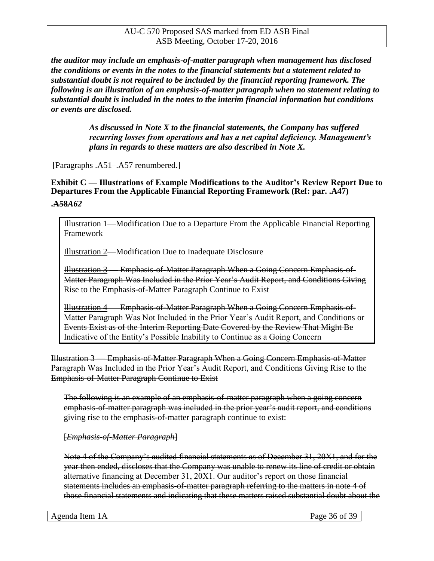*the auditor may include an emphasis-of-matter paragraph when management has disclosed the conditions or events in the notes to the financial statements but a statement related to substantial doubt is not required to be included by the financial reporting framework. The following is an illustration of an emphasis-of-matter paragraph when no statement relating to substantial doubt is included in the notes to the interim financial information but conditions or events are disclosed.*

> *As discussed in Note X to the financial statements, the Company has suffered recurring losses from operations and has a net capital deficiency. Management's plans in regards to these matters are also described in Note X.*

[Paragraphs .A51–.A57 renumbered.]

#### **Exhibit C — Illustrations of Example Modifications to the Auditor's Review Report Due to Departures From the Applicable Financial Reporting Framework (Ref: par. .A47) .A58***A62*

Illustration 1—Modification Due to a Departure From the Applicable Financial Reporting Framework

Illustration 2—Modification Due to Inadequate Disclosure

Illustration 3 — Emphasis-of-Matter Paragraph When a Going Concern Emphasis-of-Matter Paragraph Was Included in the Prior Year's Audit Report, and Conditions Giving Rise to the Emphasis-of-Matter Paragraph Continue to Exist

Illustration 4 — Emphasis-of-Matter Paragraph When a Going Concern Emphasis-of-Matter Paragraph Was Not Included in the Prior Year's Audit Report, and Conditions or Events Exist as of the Interim Reporting Date Covered by the Review That Might Be Indicative of the Entity's Possible Inability to Continue as a Going Concern

Illustration 3 — Emphasis-of-Matter Paragraph When a Going Concern Emphasis-of-Matter Paragraph Was Included in the Prior Year's Audit Report, and Conditions Giving Rise to the Emphasis-of-Matter Paragraph Continue to Exist

The following is an example of an emphasis-of-matter paragraph when a going concern emphasis-of-matter paragraph was included in the prior year's audit report, and conditions giving rise to the emphasis-of-matter paragraph continue to exist:

#### [*Emphasis-of-Matter Paragraph*]

Note 4 of the Company's audited financial statements as of December 31, 20X1, and for the year then ended, discloses that the Company was unable to renew its line of credit or obtain alternative financing at December 31, 20X1. Our auditor's report on those financial statements includes an emphasis-of-matter paragraph referring to the matters in note 4 of those financial statements and indicating that these matters raised substantial doubt about the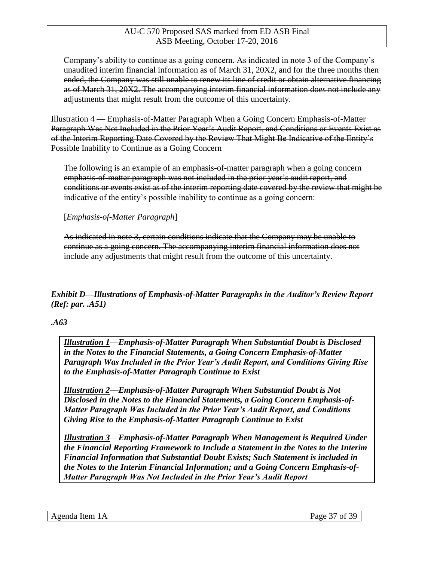Company's ability to continue as a going concern. As indicated in note 3 of the Company's unaudited interim financial information as of March 31, 20X2, and for the three months then ended, the Company was still unable to renew its line of credit or obtain alternative financing as of March 31, 20X2. The accompanying interim financial information does not include any adjustments that might result from the outcome of this uncertainty.

Illustration 4 — Emphasis-of-Matter Paragraph When a Going Concern Emphasis-of-Matter Paragraph Was Not Included in the Prior Year's Audit Report, and Conditions or Events Exist as of the Interim Reporting Date Covered by the Review That Might Be Indicative of the Entity's Possible Inability to Continue as a Going Concern

The following is an example of an emphasis-of-matter paragraph when a going concern emphasis-of-matter paragraph was not included in the prior year's audit report, and conditions or events exist as of the interim reporting date covered by the review that might be indicative of the entity's possible inability to continue as a going concern:

[*Emphasis-of-Matter Paragraph*]

As indicated in note 3, certain conditions indicate that the Company may be unable to continue as a going concern. The accompanying interim financial information does not include any adjustments that might result from the outcome of this uncertainty.

*Exhibit D—Illustrations of Emphasis-of-Matter Paragraphs in the Auditor's Review Report (Ref: par. .A51)*

#### *.A63*

*Illustration 1*—*Emphasis-of-Matter Paragraph When Substantial Doubt is Disclosed in the Notes to the Financial Statements, a Going Concern Emphasis-of-Matter Paragraph Was Included in the Prior Year's Audit Report, and Conditions Giving Rise to the Emphasis-of-Matter Paragraph Continue to Exist*

*Illustration 2*—*Emphasis-of-Matter Paragraph When Substantial Doubt is Not Disclosed in the Notes to the Financial Statements, a Going Concern Emphasis-of-Matter Paragraph Was Included in the Prior Year's Audit Report, and Conditions Giving Rise to the Emphasis-of-Matter Paragraph Continue to Exist*

*Illustration 3*—*Emphasis-of-Matter Paragraph When Management is Required Under the Financial Reporting Framework to Include a Statement in the Notes to the Interim Financial Information that Substantial Doubt Exists; Such Statement is included in the Notes to the Interim Financial Information; and a Going Concern Emphasis-of-Matter Paragraph Was Not Included in the Prior Year's Audit Report*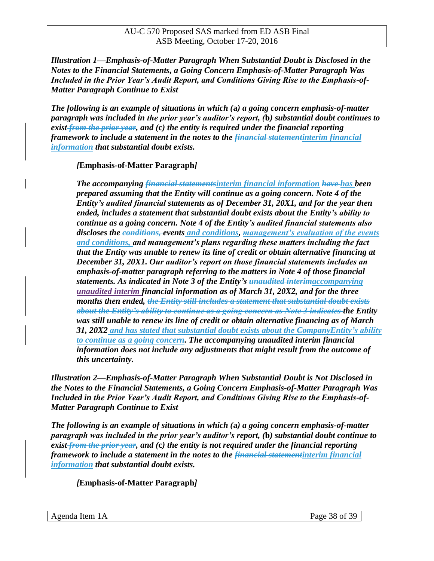*Illustration 1—Emphasis-of-Matter Paragraph When Substantial Doubt is Disclosed in the Notes to the Financial Statements, a Going Concern Emphasis-of-Matter Paragraph Was Included in the Prior Year's Audit Report, and Conditions Giving Rise to the Emphasis-of-Matter Paragraph Continue to Exist*

*The following is an example of situations in which (***a***) a going concern emphasis-of-matter paragraph was included in the prior year's auditor's report, (***b***) substantial doubt continues to exist from the prior year, and (***c***) the entity is required under the financial reporting framework to include a statement in the notes to the financial statementinterim financial information that substantial doubt exists.*

*[***Emphasis-of-Matter Paragraph***]*

*The accompanying financial statementsinterim financial information have has been prepared assuming that the Entity will continue as a going concern. Note 4 of the Entity's audited financial statements as of December 31, 20X1, and for the year then ended, includes a statement that substantial doubt exists about the Entity's ability to continue as a going concern. Note 4 of the Entity's audited financial statements also discloses the conditions, events and conditions, management's evaluation of the events and conditions, and management's plans regarding these matters including the fact that the Entity was unable to renew its line of credit or obtain alternative financing at December 31, 20X1. Our auditor's report on those financial statements includes an emphasis-of-matter paragraph referring to the matters in Note 4 of those financial statements. As indicated in Note 3 of the Entity's unaudited interimaccompanying unaudited interim financial information as of March 31, 20X2, and for the three months then ended, the Entity still includes a statement that substantial doubt exists about the Entity's ability to continue as a going concern as Note 3 indicates the Entity was still unable to renew its line of credit or obtain alternative financing as of March 31, 20X2 and has stated that substantial doubt exists about the CompanyEntity's ability to continue as a going concern. The accompanying unaudited interim financial information does not include any adjustments that might result from the outcome of this uncertainty.*

*Illustration 2—Emphasis-of-Matter Paragraph When Substantial Doubt is Not Disclosed in the Notes to the Financial Statements, a Going Concern Emphasis-of-Matter Paragraph Was Included in the Prior Year's Audit Report, and Conditions Giving Rise to the Emphasis-of-Matter Paragraph Continue to Exist*

*The following is an example of situations in which (***a***) a going concern emphasis-of-matter paragraph was included in the prior year's auditor's report, (***b***) substantial doubt continue to exist from the prior year, and (***c***) the entity is not required under the financial reporting framework to include a statement in the notes to the financial statementinterim financial information that substantial doubt exists.*

*[***Emphasis-of-Matter Paragraph***]*